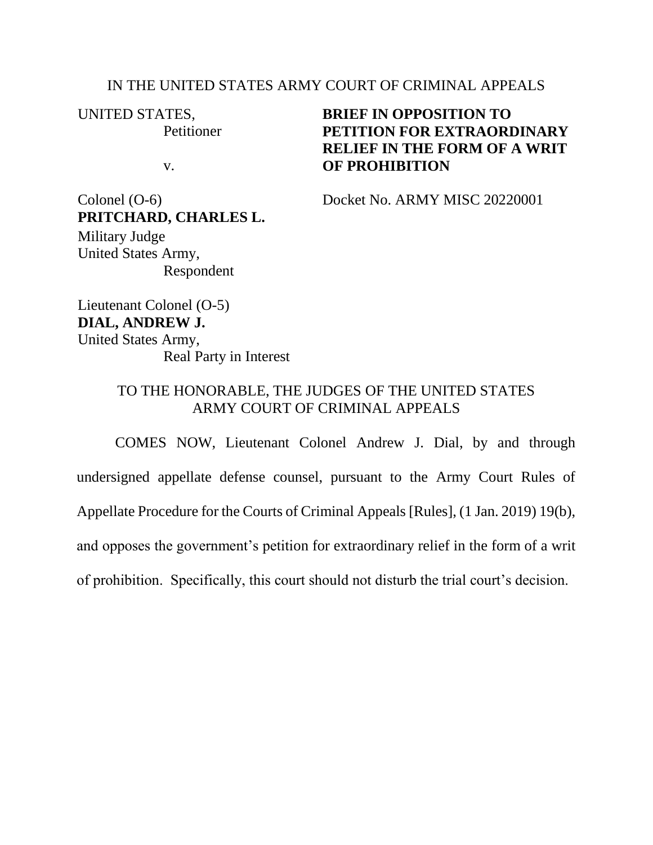### IN THE UNITED STATES ARMY COURT OF CRIMINAL APPEALS

UNITED STATES,

**Petitioner** 

v.

## **BRIEF IN OPPOSITION TO PETITION FOR EXTRAORDINARY RELIEF IN THE FORM OF A WRIT OF PROHIBITION**

Colonel (O-6) Docket No. ARMY MISC 20220001

**PRITCHARD, CHARLES L.** Military Judge United States Army, Respondent

Lieutenant Colonel (O-5) **DIAL, ANDREW J.** United States Army, Real Party in Interest

### TO THE HONORABLE, THE JUDGES OF THE UNITED STATES ARMY COURT OF CRIMINAL APPEALS

COMES NOW, Lieutenant Colonel Andrew J. Dial, by and through undersigned appellate defense counsel, pursuant to the Army Court Rules of Appellate Procedure for the Courts of Criminal Appeals [Rules], (1 Jan. 2019) 19(b), and opposes the government's petition for extraordinary relief in the form of a writ of prohibition. Specifically, this court should not disturb the trial court's decision.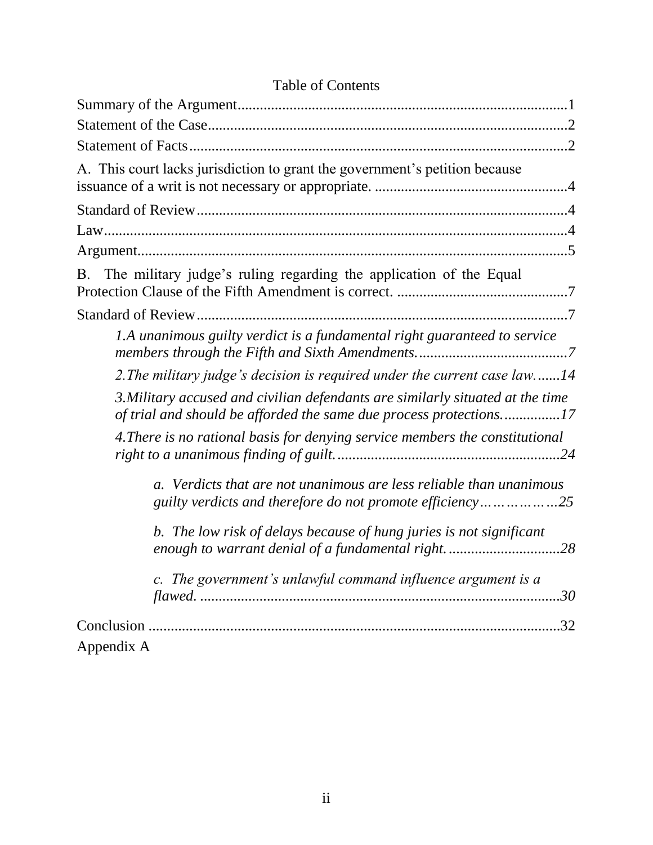### Table of Contents

| A. This court lacks jurisdiction to grant the government's petition because                                                                          |
|------------------------------------------------------------------------------------------------------------------------------------------------------|
|                                                                                                                                                      |
|                                                                                                                                                      |
|                                                                                                                                                      |
| B. The military judge's ruling regarding the application of the Equal                                                                                |
|                                                                                                                                                      |
| 1.A unanimous guilty verdict is a fundamental right guaranteed to service                                                                            |
| 2. The military judge's decision is required under the current case law14                                                                            |
| 3. Military accused and civilian defendants are similarly situated at the time<br>of trial and should be afforded the same due process protections17 |
| 4. There is no rational basis for denying service members the constitutional                                                                         |
| Verdicts that are not unanimous are less reliable than unanimous<br>$a$ .<br>guilty verdicts and therefore do not promote efficiency25               |
| b. The low risk of delays because of hung juries is not significant<br>enough to warrant denial of a fundamental right28                             |
| c. The government's unlawful command influence argument is a                                                                                         |
| .32<br>Appendix A                                                                                                                                    |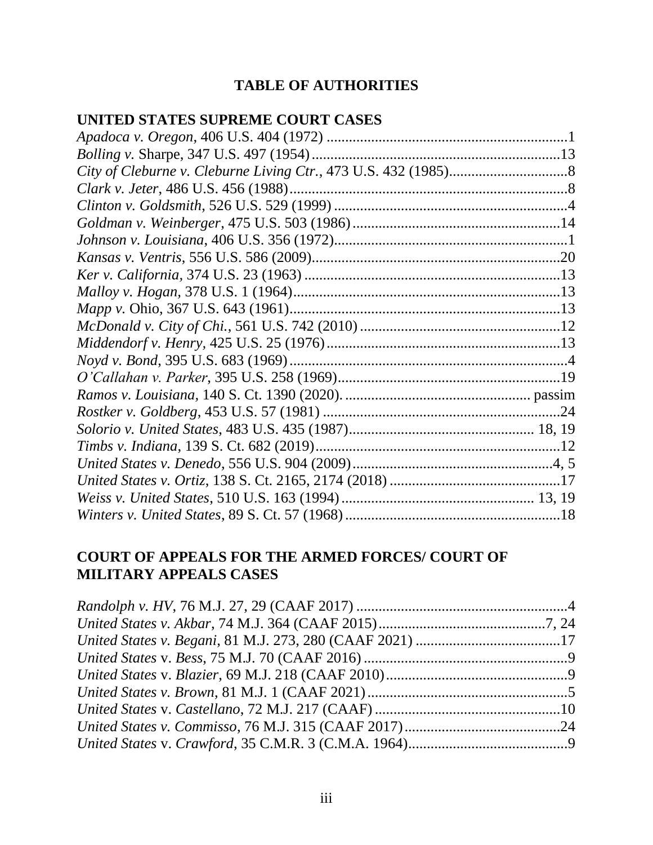## **TABLE OF AUTHORITIES**

### **UNITED STATES SUPREME COURT CASES**

## **COURT OF APPEALS FOR THE ARMED FORCES/ COURT OF MILITARY APPEALS CASES**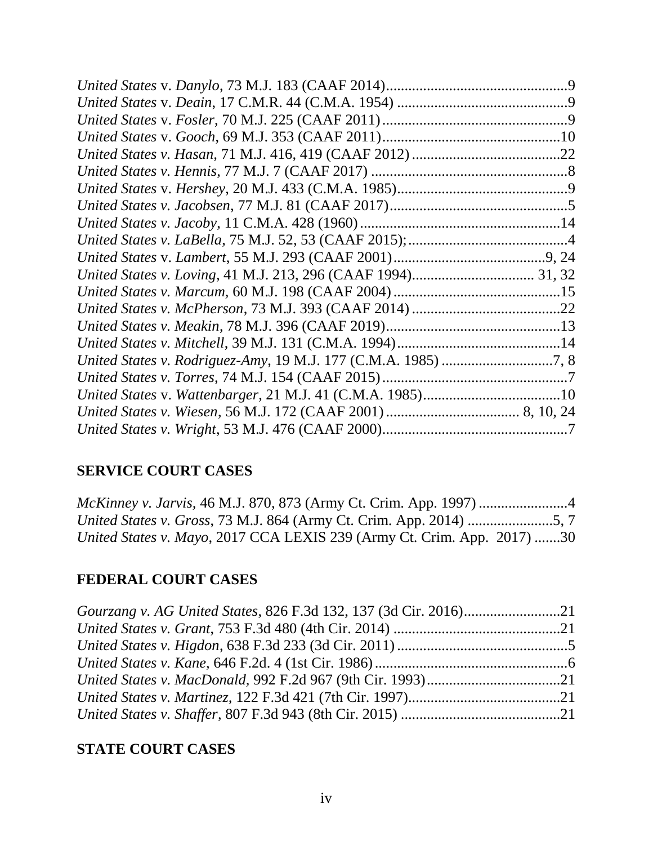| United States v. Wattenbarger, 21 M.J. 41 (C.M.A. 1985)10 |  |
|-----------------------------------------------------------|--|
|                                                           |  |
|                                                           |  |

## **SERVICE COURT CASES**

| <i>McKinney v. Jarvis,</i> 46 M.J. 870, 873 (Army Ct. Crim. App. 1997) 4   |  |
|----------------------------------------------------------------------------|--|
| <i>United States v. Gross, 73 M.J. 864 (Army Ct. Crim. App. 2014) 5, 7</i> |  |
| United States v. Mayo, 2017 CCA LEXIS 239 (Army Ct. Crim. App. 2017) 30    |  |

# **FEDERAL COURT CASES**

## **STATE COURT CASES**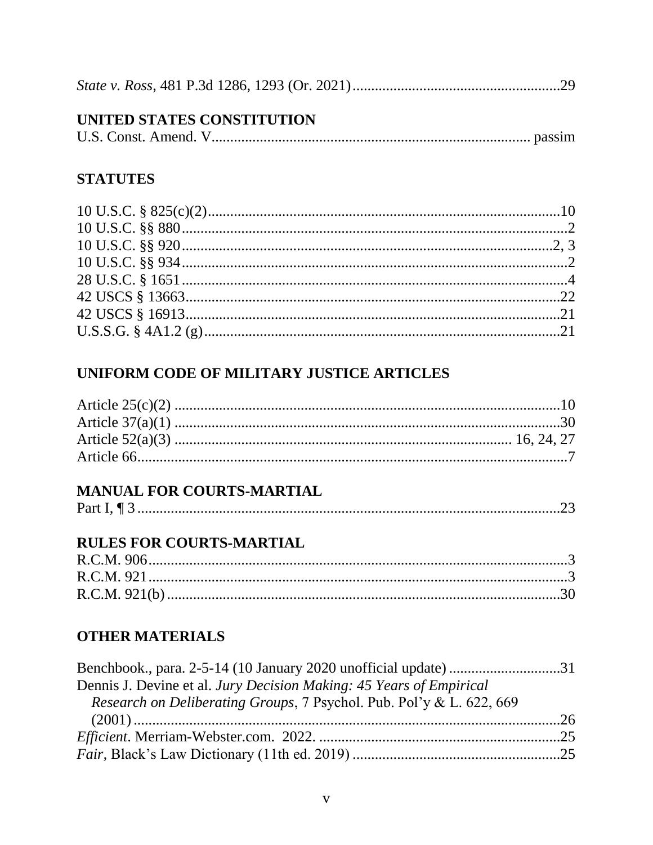|--|--|--|

## UNITED STATES CONSTITUTION

| U.S. Const. Amend. V. |  |
|-----------------------|--|
|                       |  |

### **STATUTES**

## UNIFORM CODE OF MILITARY JUSTICE ARTICLES

## **MANUAL FOR COURTS-MARTIAL**

|--|--|

## **RULES FOR COURTS-MARTIAL**

## **OTHER MATERIALS**

| Dennis J. Devine et al. Jury Decision Making: 45 Years of Empirical  |  |
|----------------------------------------------------------------------|--|
| Research on Deliberating Groups, 7 Psychol. Pub. Pol'y & L. 622, 669 |  |
|                                                                      |  |
|                                                                      |  |
|                                                                      |  |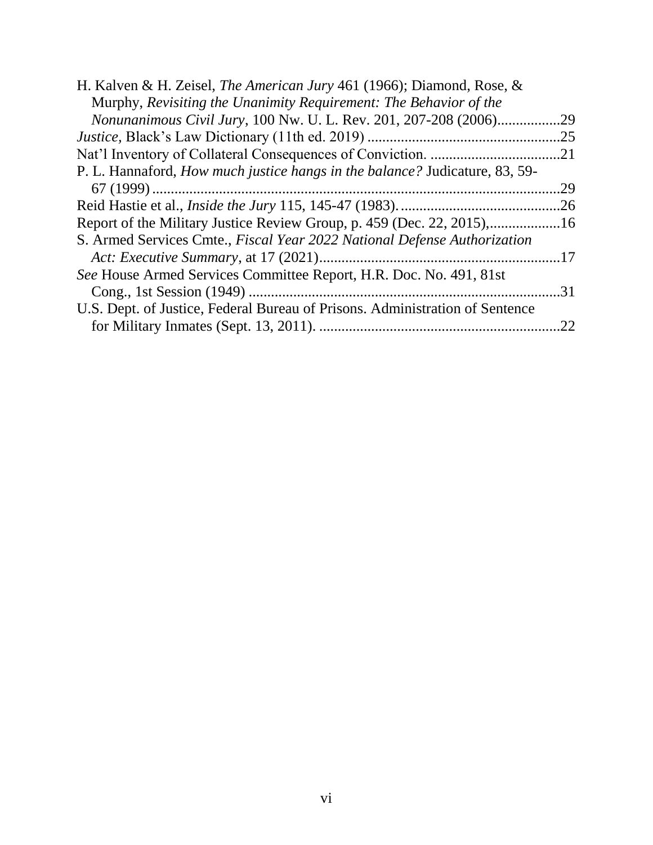| H. Kalven & H. Zeisel, The American Jury 461 (1966); Diamond, Rose, &              |     |
|------------------------------------------------------------------------------------|-----|
| Murphy, Revisiting the Unanimity Requirement: The Behavior of the                  |     |
| Nonunanimous Civil Jury, 100 Nw. U. L. Rev. 201, 207-208 (2006)                    | .29 |
|                                                                                    | .25 |
|                                                                                    | .21 |
| P. L. Hannaford, <i>How much justice hangs in the balance?</i> Judicature, 83, 59- |     |
|                                                                                    | .29 |
|                                                                                    | .26 |
| Report of the Military Justice Review Group, p. 459 (Dec. 22, 2015),16             |     |
| S. Armed Services Cmte., Fiscal Year 2022 National Defense Authorization           |     |
|                                                                                    |     |
| See House Armed Services Committee Report, H.R. Doc. No. 491, 81st                 |     |
|                                                                                    | 31  |
| U.S. Dept. of Justice, Federal Bureau of Prisons. Administration of Sentence       |     |
|                                                                                    | 22  |
|                                                                                    |     |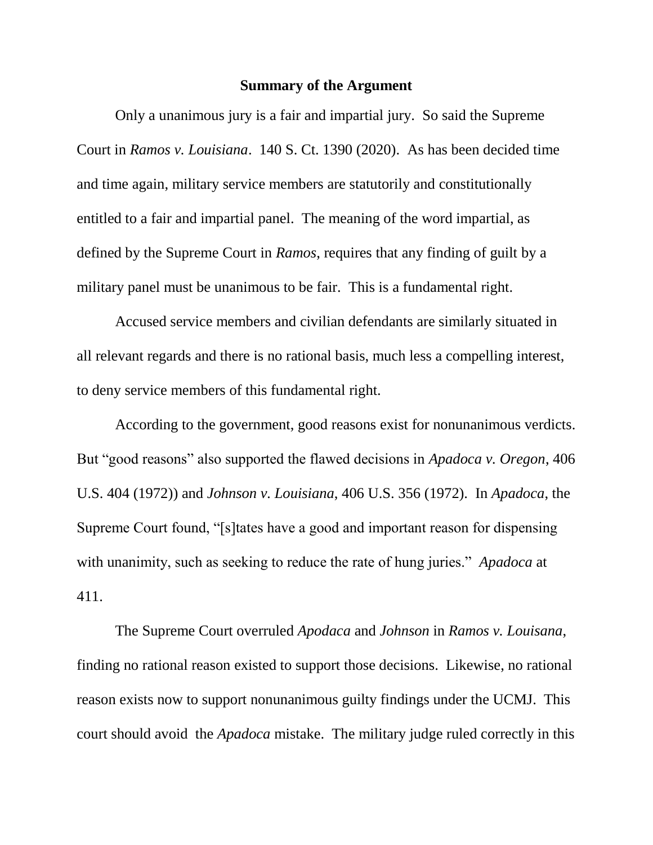#### **Summary of the Argument**

<span id="page-6-0"></span>Only a unanimous jury is a fair and impartial jury. So said the Supreme Court in *Ramos v. Louisiana*. 140 S. Ct. 1390 (2020). As has been decided time and time again, military service members are statutorily and constitutionally entitled to a fair and impartial panel. The meaning of the word impartial, as defined by the Supreme Court in *Ramos*, requires that any finding of guilt by a military panel must be unanimous to be fair. This is a fundamental right.

Accused service members and civilian defendants are similarly situated in all relevant regards and there is no rational basis, much less a compelling interest, to deny service members of this fundamental right.

According to the government, good reasons exist for nonunanimous verdicts. But "good reasons" also supported the flawed decisions in *Apadoca v. Oregon*, 406 U.S. 404 (1972)) and *Johnson v. Louisiana*, 406 U.S. 356 (1972). In *Apadoca*, the Supreme Court found, "[s]tates have a good and important reason for dispensing with unanimity, such as seeking to reduce the rate of hung juries." *Apadoca* at 411.

The Supreme Court overruled *Apodaca* and *Johnson* in *Ramos v. Louisana*, finding no rational reason existed to support those decisions. Likewise, no rational reason exists now to support nonunanimous guilty findings under the UCMJ. This court should avoid the *Apadoca* mistake. The military judge ruled correctly in this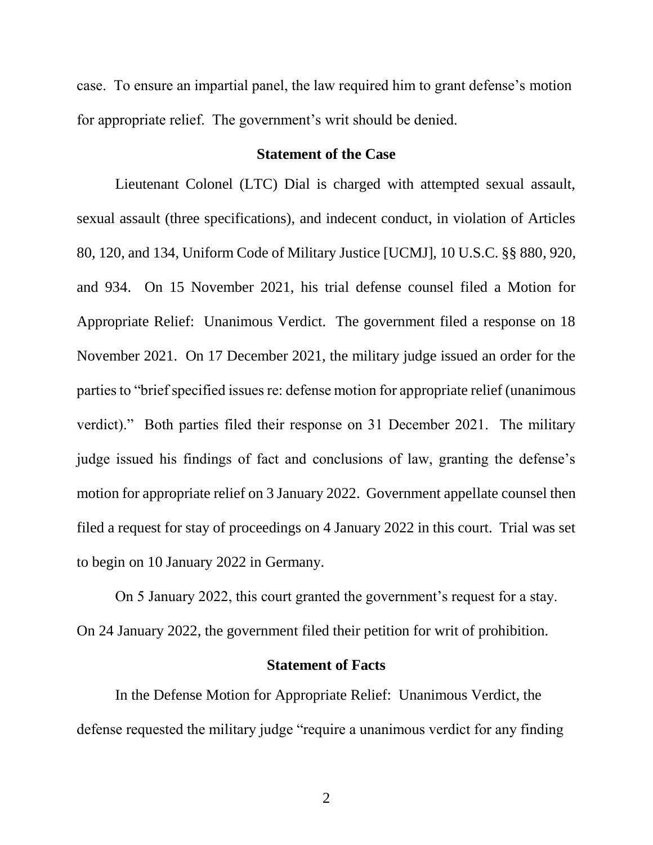case. To ensure an impartial panel, the law required him to grant defense's motion for appropriate relief. The government's writ should be denied.

#### **Statement of the Case**

<span id="page-7-0"></span>Lieutenant Colonel (LTC) Dial is charged with attempted sexual assault, sexual assault (three specifications), and indecent conduct, in violation of Articles 80, 120, and 134, Uniform Code of Military Justice [UCMJ], 10 U.S.C. §§ 880, 920, and 934. On 15 November 2021, his trial defense counsel filed a Motion for Appropriate Relief: Unanimous Verdict. The government filed a response on 18 November 2021. On 17 December 2021, the military judge issued an order for the parties to "brief specified issues re: defense motion for appropriate relief (unanimous verdict)." Both parties filed their response on 31 December 2021. The military judge issued his findings of fact and conclusions of law, granting the defense's motion for appropriate relief on 3 January 2022. Government appellate counsel then filed a request for stay of proceedings on 4 January 2022 in this court. Trial was set to begin on 10 January 2022 in Germany.

On 5 January 2022, this court granted the government's request for a stay. On 24 January 2022, the government filed their petition for writ of prohibition.

#### **Statement of Facts**

<span id="page-7-1"></span>In the Defense Motion for Appropriate Relief: Unanimous Verdict, the defense requested the military judge "require a unanimous verdict for any finding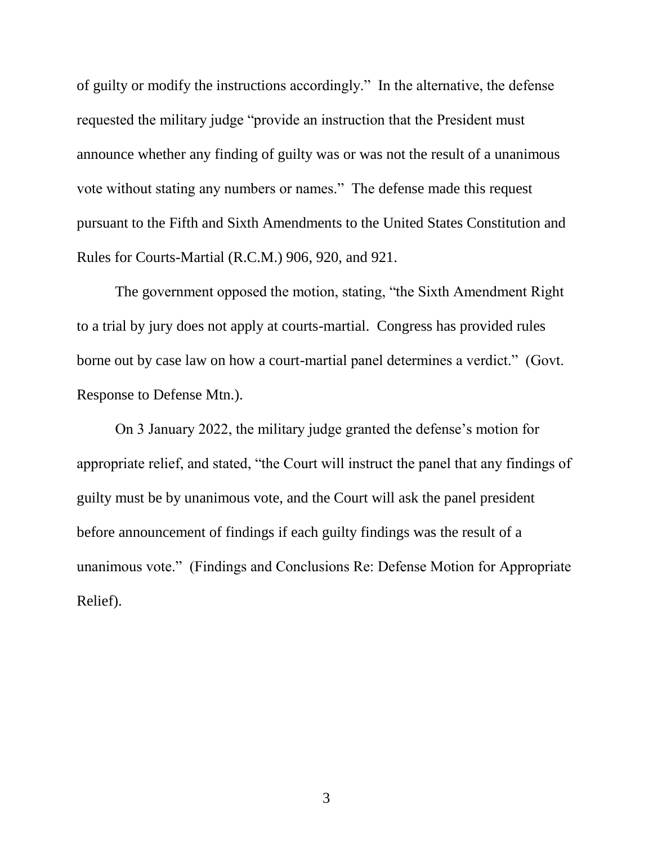of guilty or modify the instructions accordingly." In the alternative, the defense requested the military judge "provide an instruction that the President must announce whether any finding of guilty was or was not the result of a unanimous vote without stating any numbers or names." The defense made this request pursuant to the Fifth and Sixth Amendments to the United States Constitution and Rules for Courts-Martial (R.C.M.) 906, 920, and 921.

The government opposed the motion, stating, "the Sixth Amendment Right to a trial by jury does not apply at courts-martial. Congress has provided rules borne out by case law on how a court-martial panel determines a verdict." (Govt. Response to Defense Mtn.).

On 3 January 2022, the military judge granted the defense's motion for appropriate relief, and stated, "the Court will instruct the panel that any findings of guilty must be by unanimous vote, and the Court will ask the panel president before announcement of findings if each guilty findings was the result of a unanimous vote." (Findings and Conclusions Re: Defense Motion for Appropriate Relief).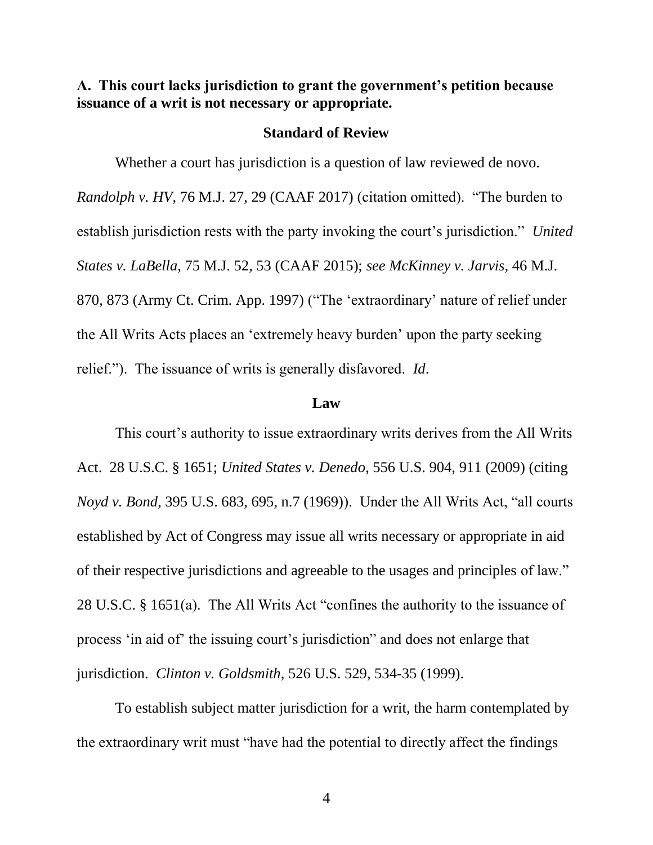<span id="page-9-0"></span>**A. This court lacks jurisdiction to grant the government's petition because issuance of a writ is not necessary or appropriate.**

#### **Standard of Review**

<span id="page-9-1"></span>Whether a court has jurisdiction is a question of law reviewed de novo. *Randolph v. HV*, 76 M.J. 27, 29 (CAAF 2017) (citation omitted). "The burden to establish jurisdiction rests with the party invoking the court's jurisdiction." *United States v. LaBella*, 75 M.J. 52, 53 (CAAF 2015); *see McKinney v. Jarvis,* 46 M.J. 870, 873 (Army Ct. Crim. App. 1997) ("The 'extraordinary' nature of relief under the All Writs Acts places an 'extremely heavy burden' upon the party seeking relief."). The issuance of writs is generally disfavored. *Id*.

#### **Law**

<span id="page-9-2"></span>This court's authority to issue extraordinary writs derives from the All Writs Act. 28 U.S.C. § 1651; *United States v. Denedo*, 556 U.S. 904, 911 (2009) (citing *Noyd v. Bond*, 395 U.S. 683, 695, n.7 (1969)). Under the All Writs Act, "all courts established by Act of Congress may issue all writs necessary or appropriate in aid of their respective jurisdictions and agreeable to the usages and principles of law." 28 U.S.C. § 1651(a). The All Writs Act "confines the authority to the issuance of process 'in aid of' the issuing court's jurisdiction" and does not enlarge that jurisdiction. *Clinton v. Goldsmith*, 526 U.S. 529, 534-35 (1999).

To establish subject matter jurisdiction for a writ, the harm contemplated by the extraordinary writ must "have had the potential to directly affect the findings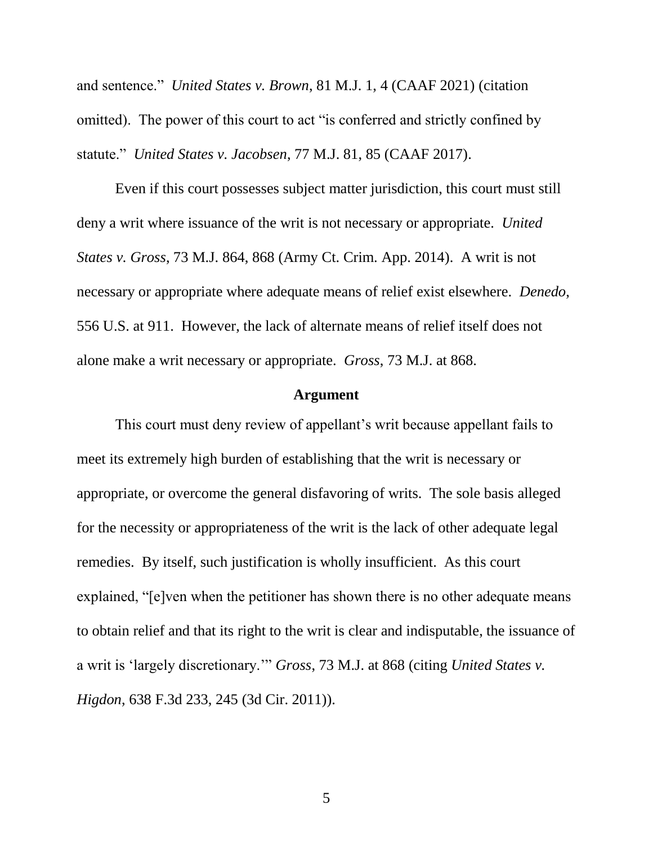and sentence." *United States v. Brown*, 81 M.J. 1, 4 (CAAF 2021) (citation omitted). The power of this court to act "is conferred and strictly confined by statute." *United States v. Jacobsen*, 77 M.J. 81, 85 (CAAF 2017).

Even if this court possesses subject matter jurisdiction, this court must still deny a writ where issuance of the writ is not necessary or appropriate. *United States v. Gross*, 73 M.J. 864, 868 (Army Ct. Crim. App. 2014). A writ is not necessary or appropriate where adequate means of relief exist elsewhere. *Denedo*, 556 U.S. at 911. However, the lack of alternate means of relief itself does not alone make a writ necessary or appropriate. *Gross*, 73 M.J. at 868.

#### **Argument**

<span id="page-10-0"></span>This court must deny review of appellant's writ because appellant fails to meet its extremely high burden of establishing that the writ is necessary or appropriate, or overcome the general disfavoring of writs. The sole basis alleged for the necessity or appropriateness of the writ is the lack of other adequate legal remedies. By itself, such justification is wholly insufficient. As this court explained, "[e]ven when the petitioner has shown there is no other adequate means to obtain relief and that its right to the writ is clear and indisputable, the issuance of a writ is 'largely discretionary.'" *Gross*, 73 M.J. at 868 (citing *United States v. Higdon*, 638 F.3d 233, 245 (3d Cir. 2011)).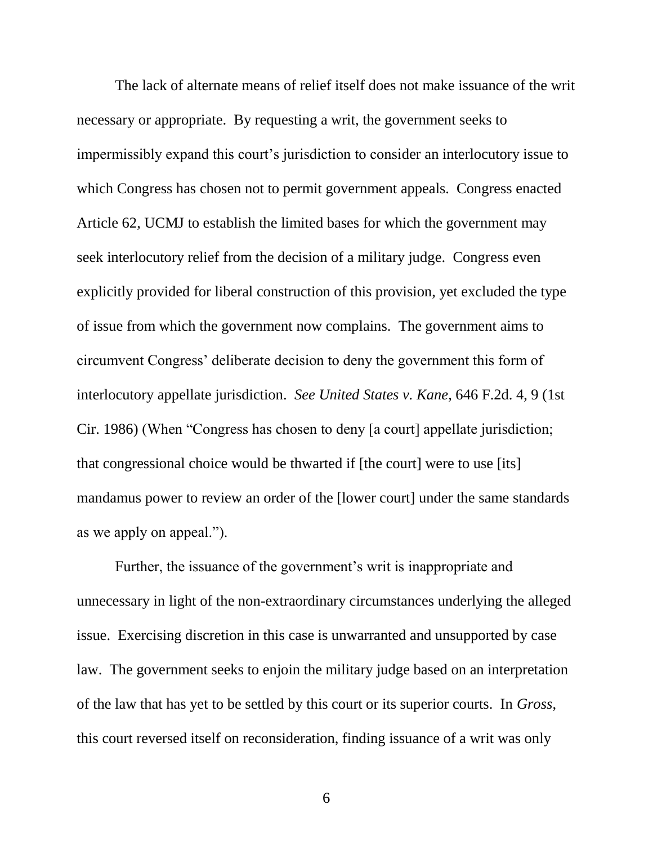The lack of alternate means of relief itself does not make issuance of the writ necessary or appropriate. By requesting a writ, the government seeks to impermissibly expand this court's jurisdiction to consider an interlocutory issue to which Congress has chosen not to permit government appeals. Congress enacted Article 62, UCMJ to establish the limited bases for which the government may seek interlocutory relief from the decision of a military judge. Congress even explicitly provided for liberal construction of this provision, yet excluded the type of issue from which the government now complains. The government aims to circumvent Congress' deliberate decision to deny the government this form of interlocutory appellate jurisdiction. *See United States v. Kane*, 646 F.2d. 4, 9 (1st Cir. 1986) (When "Congress has chosen to deny [a court] appellate jurisdiction; that congressional choice would be thwarted if [the court] were to use [its] mandamus power to review an order of the [lower court] under the same standards as we apply on appeal.").

Further, the issuance of the government's writ is inappropriate and unnecessary in light of the non-extraordinary circumstances underlying the alleged issue. Exercising discretion in this case is unwarranted and unsupported by case law. The government seeks to enjoin the military judge based on an interpretation of the law that has yet to be settled by this court or its superior courts. In *Gross*, this court reversed itself on reconsideration, finding issuance of a writ was only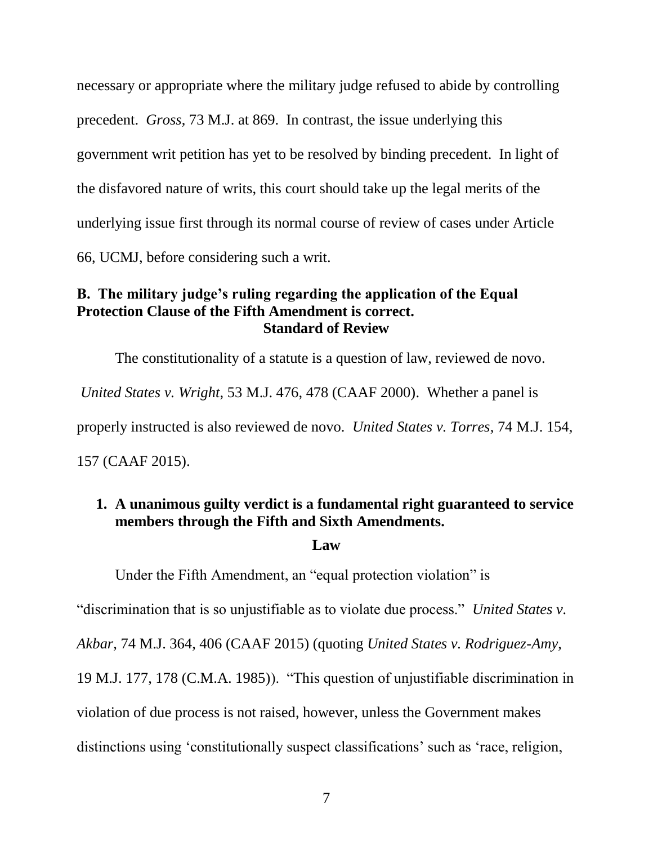necessary or appropriate where the military judge refused to abide by controlling precedent. *Gross*, 73 M.J. at 869. In contrast, the issue underlying this government writ petition has yet to be resolved by binding precedent. In light of the disfavored nature of writs, this court should take up the legal merits of the underlying issue first through its normal course of review of cases under Article 66, UCMJ, before considering such a writ.

### <span id="page-12-0"></span>**B. The military judge's ruling regarding the application of the Equal Protection Clause of the Fifth Amendment is correct. Standard of Review**

<span id="page-12-1"></span>The constitutionality of a statute is a question of law, reviewed de novo. *United States v. Wright*, 53 M.J. 476, 478 (CAAF 2000). Whether a panel is properly instructed is also reviewed de novo. *United States v. Torres*, 74 M.J. 154, 157 (CAAF 2015).

### <span id="page-12-2"></span>**1. A unanimous guilty verdict is a fundamental right guaranteed to service members through the Fifth and Sixth Amendments.**

### **Law**

Under the Fifth Amendment, an "equal protection violation" is

"discrimination that is so unjustifiable as to violate due process." *United States v.* 

*Akbar*, 74 M.J. 364, 406 (CAAF 2015) (quoting *United States v. Rodriguez-Amy*,

19 M.J. 177, 178 (C.M.A. 1985)). "This question of unjustifiable discrimination in

violation of due process is not raised, however, unless the Government makes

distinctions using 'constitutionally suspect classifications' such as 'race, religion,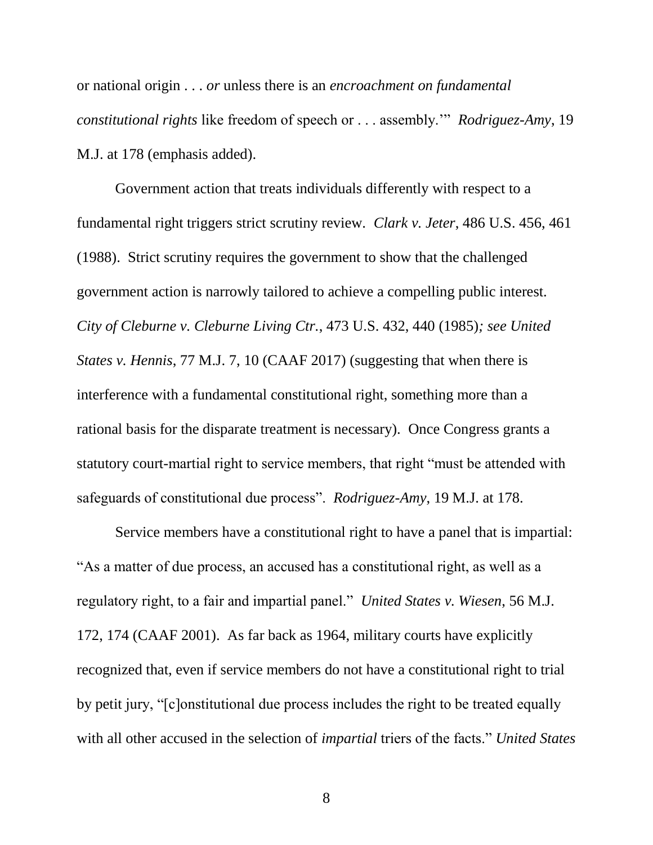or national origin . . . *or* unless there is an *encroachment on fundamental constitutional rights* like freedom of speech or . . . assembly.'" *Rodriguez-Amy*, 19 M.J. at 178 (emphasis added).

Government action that treats individuals differently with respect to a fundamental right triggers strict scrutiny review. *Clark v. Jeter*, 486 U.S. 456, 461 (1988). Strict scrutiny requires the government to show that the challenged government action is narrowly tailored to achieve a compelling public interest. *City of Cleburne v. Cleburne Living Ctr.*, 473 U.S. 432, 440 (1985)*; see United States v. Hennis*, 77 M.J. 7, 10 (CAAF 2017) (suggesting that when there is interference with a fundamental constitutional right, something more than a rational basis for the disparate treatment is necessary). Once Congress grants a statutory court-martial right to service members, that right "must be attended with safeguards of constitutional due process". *Rodriguez-Amy*, 19 M.J. at 178.

Service members have a constitutional right to have a panel that is impartial: "As a matter of due process, an accused has a constitutional right, as well as a regulatory right, to a fair and impartial panel." *United States v. Wiesen*, 56 M.J. 172, 174 (CAAF 2001). As far back as 1964, military courts have explicitly recognized that, even if service members do not have a constitutional right to trial by petit jury, "[c]onstitutional due process includes the right to be treated equally with all other accused in the selection of *impartial* triers of the facts." *United States*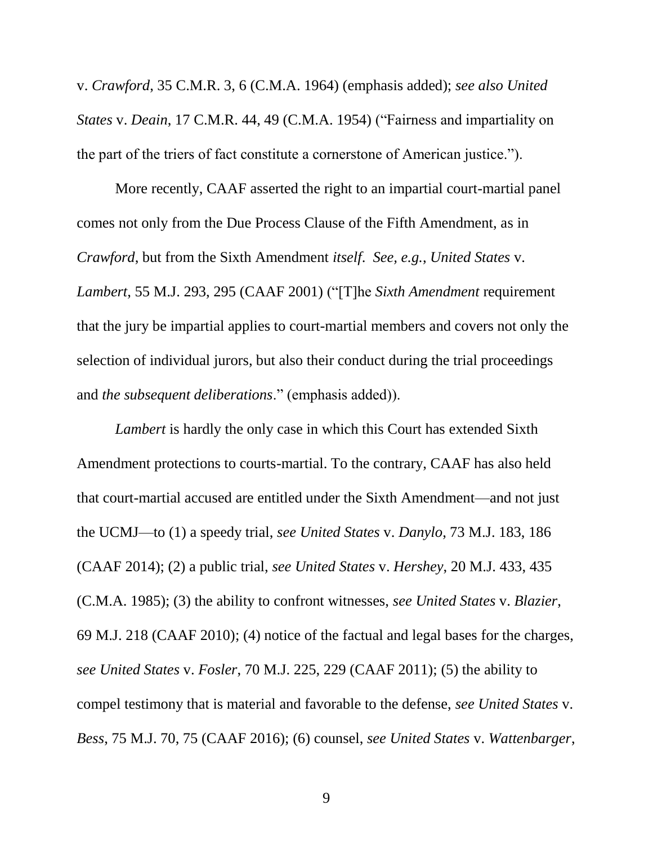v. *Crawford*, 35 C.M.R. 3, 6 (C.M.A. 1964) (emphasis added); *see also United States* v. *Deain*, 17 C.M.R. 44, 49 (C.M.A. 1954) ("Fairness and impartiality on the part of the triers of fact constitute a cornerstone of American justice.").

More recently, CAAF asserted the right to an impartial court-martial panel comes not only from the Due Process Clause of the Fifth Amendment, as in *Crawford*, but from the Sixth Amendment *itself*. *See, e.g.*, *United States* v. *Lambert*, 55 M.J. 293, 295 (CAAF 2001) ("[T]he *Sixth Amendment* requirement that the jury be impartial applies to court-martial members and covers not only the selection of individual jurors, but also their conduct during the trial proceedings and *the subsequent deliberations*." (emphasis added)).

*Lambert* is hardly the only case in which this Court has extended Sixth Amendment protections to courts-martial. To the contrary, CAAF has also held that court-martial accused are entitled under the Sixth Amendment—and not just the UCMJ—to (1) a speedy trial, *see United States* v. *Danylo*, 73 M.J. 183, 186 (CAAF 2014); (2) a public trial, *see United States* v. *Hershey*, 20 M.J. 433, 435 (C.M.A. 1985); (3) the ability to confront witnesses, *see United States* v. *Blazier*, 69 M.J. 218 (CAAF 2010); (4) notice of the factual and legal bases for the charges, *see United States* v. *Fosler*, 70 M.J. 225, 229 (CAAF 2011); (5) the ability to compel testimony that is material and favorable to the defense, *see United States* v. *Bess*, 75 M.J. 70, 75 (CAAF 2016); (6) counsel, *see United States* v. *Wattenbarger*,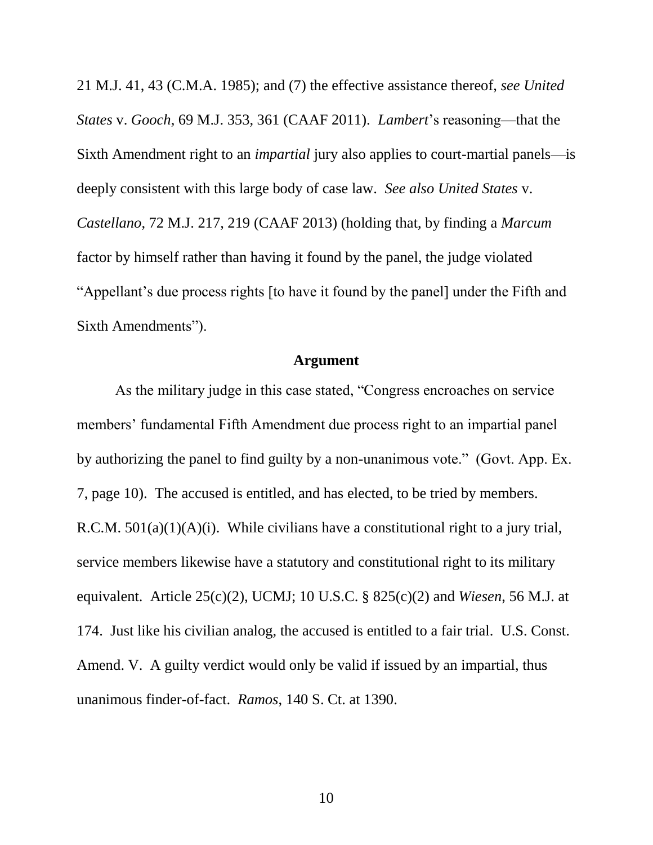21 M.J. 41, 43 (C.M.A. 1985); and (7) the effective assistance thereof, *see United States* v. *Gooch*, 69 M.J. 353, 361 (CAAF 2011). *Lambert*'s reasoning—that the Sixth Amendment right to an *impartial* jury also applies to court-martial panels—is deeply consistent with this large body of case law. *See also United States* v. *Castellano*, 72 M.J. 217, 219 (CAAF 2013) (holding that, by finding a *Marcum*  factor by himself rather than having it found by the panel, the judge violated "Appellant's due process rights [to have it found by the panel] under the Fifth and Sixth Amendments").

#### **Argument**

As the military judge in this case stated, "Congress encroaches on service members' fundamental Fifth Amendment due process right to an impartial panel by authorizing the panel to find guilty by a non-unanimous vote." (Govt. App. Ex. 7, page 10). The accused is entitled, and has elected, to be tried by members. R.C.M.  $501(a)(1)(A)(i)$ . While civilians have a constitutional right to a jury trial, service members likewise have a statutory and constitutional right to its military equivalent. Article 25(c)(2), UCMJ; 10 U.S.C. § 825(c)(2) and *Wiesen*, 56 M.J. at 174. Just like his civilian analog, the accused is entitled to a fair trial. U.S. Const. Amend. V. A guilty verdict would only be valid if issued by an impartial, thus unanimous finder-of-fact. *Ramos*, 140 S. Ct. at 1390.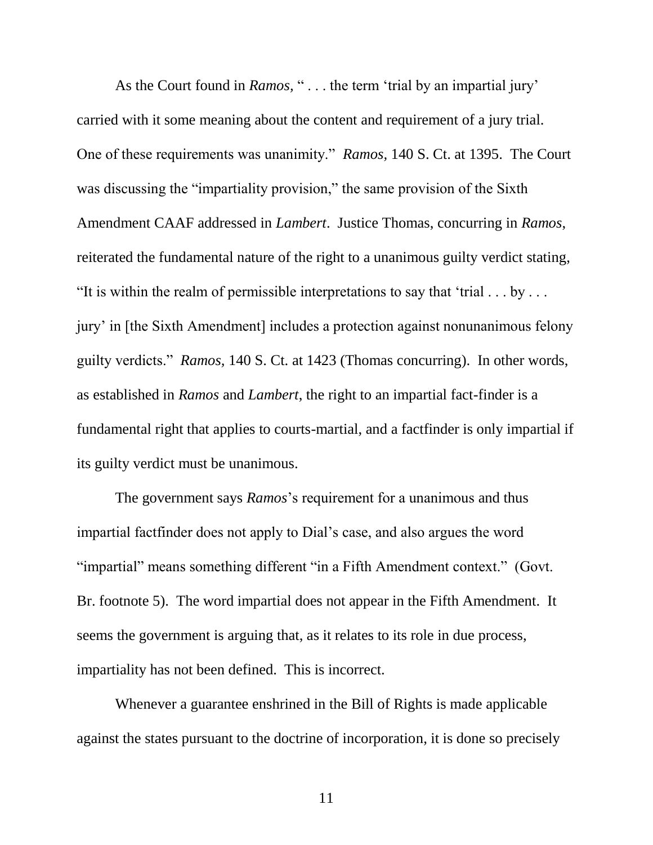As the Court found in *Ramos*, "... the term 'trial by an impartial jury' carried with it some meaning about the content and requirement of a jury trial. One of these requirements was unanimity."*Ramos,* 140 S. Ct. at 1395. The Court was discussing the "impartiality provision," the same provision of the Sixth Amendment CAAF addressed in *Lambert*. Justice Thomas, concurring in *Ramos*, reiterated the fundamental nature of the right to a unanimous guilty verdict stating, "It is within the realm of permissible interpretations to say that 'trial  $\dots$  by  $\dots$ jury' in [the Sixth Amendment] includes a protection against nonunanimous felony guilty verdicts." *Ramos,* 140 S. Ct. at 1423 (Thomas concurring). In other words, as established in *Ramos* and *Lambert*, the right to an impartial fact-finder is a fundamental right that applies to courts-martial, and a factfinder is only impartial if its guilty verdict must be unanimous.

The government says *Ramos*'s requirement for a unanimous and thus impartial factfinder does not apply to Dial's case, and also argues the word "impartial" means something different "in a Fifth Amendment context." (Govt. Br. footnote 5). The word impartial does not appear in the Fifth Amendment. It seems the government is arguing that, as it relates to its role in due process, impartiality has not been defined. This is incorrect.

Whenever a guarantee enshrined in the Bill of Rights is made applicable against the states pursuant to the doctrine of incorporation, it is done so precisely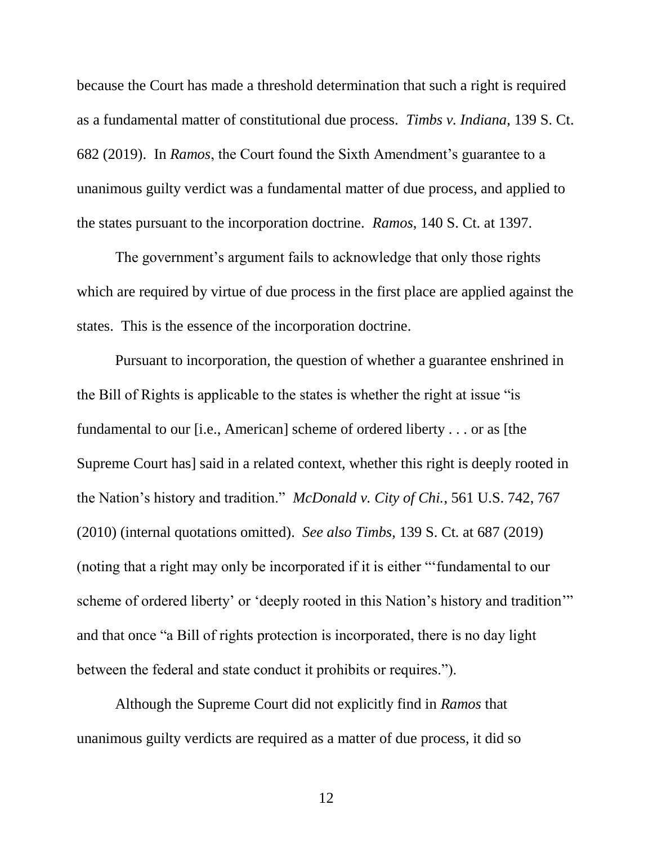because the Court has made a threshold determination that such a right is required as a fundamental matter of constitutional due process. *Timbs v. Indiana*, 139 S. Ct. 682 (2019). In *Ramos*, the Court found the Sixth Amendment's guarantee to a unanimous guilty verdict was a fundamental matter of due process, and applied to the states pursuant to the incorporation doctrine. *Ramos*, 140 S. Ct. at 1397.

The government's argument fails to acknowledge that only those rights which are required by virtue of due process in the first place are applied against the states. This is the essence of the incorporation doctrine.

Pursuant to incorporation, the question of whether a guarantee enshrined in the Bill of Rights is applicable to the states is whether the right at issue "is fundamental to our [i.e., American] scheme of ordered liberty . . . or as [the Supreme Court has] said in a related context, whether this right is deeply rooted in the Nation's history and tradition." *McDonald v. City of Chi.*, 561 U.S. 742, 767 (2010) (internal quotations omitted). *See also Timbs*, 139 S. Ct. at 687 (2019) (noting that a right may only be incorporated if it is either "'fundamental to our scheme of ordered liberty' or 'deeply rooted in this Nation's history and tradition'" and that once "a Bill of rights protection is incorporated, there is no day light between the federal and state conduct it prohibits or requires.").

Although the Supreme Court did not explicitly find in *Ramos* that unanimous guilty verdicts are required as a matter of due process, it did so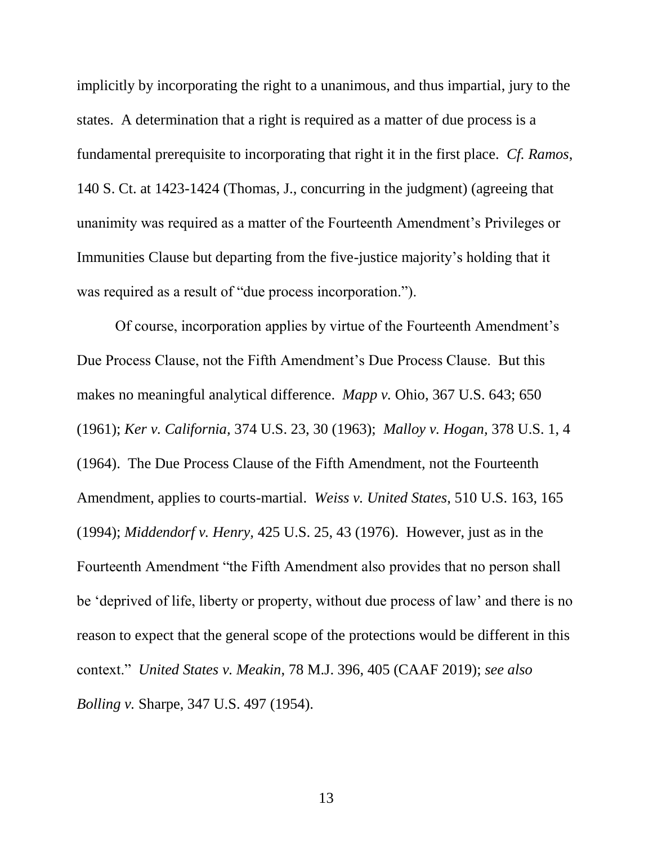implicitly by incorporating the right to a unanimous, and thus impartial, jury to the states. A determination that a right is required as a matter of due process is a fundamental prerequisite to incorporating that right it in the first place. *Cf. Ramos*, 140 S. Ct. at 1423-1424 (Thomas, J., concurring in the judgment) (agreeing that unanimity was required as a matter of the Fourteenth Amendment's Privileges or Immunities Clause but departing from the five-justice majority's holding that it was required as a result of "due process incorporation.").

Of course, incorporation applies by virtue of the Fourteenth Amendment's Due Process Clause, not the Fifth Amendment's Due Process Clause. But this makes no meaningful analytical difference. *Mapp v.* Ohio, 367 U.S. 643; 650 (1961); *Ker v. California,* 374 U.S. 23, 30 (1963); *Malloy v. Hogan,* 378 U.S. 1, 4 (1964). The Due Process Clause of the Fifth Amendment, not the Fourteenth Amendment, applies to courts-martial. *Weiss v. United States*, 510 U.S. 163, 165 (1994); *Middendorf v. Henry,* 425 U.S. 25, 43 (1976). However, just as in the Fourteenth Amendment "the Fifth Amendment also provides that no person shall be 'deprived of life, liberty or property, without due process of law' and there is no reason to expect that the general scope of the protections would be different in this context." *United States v. Meakin*, 78 M.J. 396, 405 (CAAF 2019); *see also Bolling v.* Sharpe, 347 U.S. 497 (1954).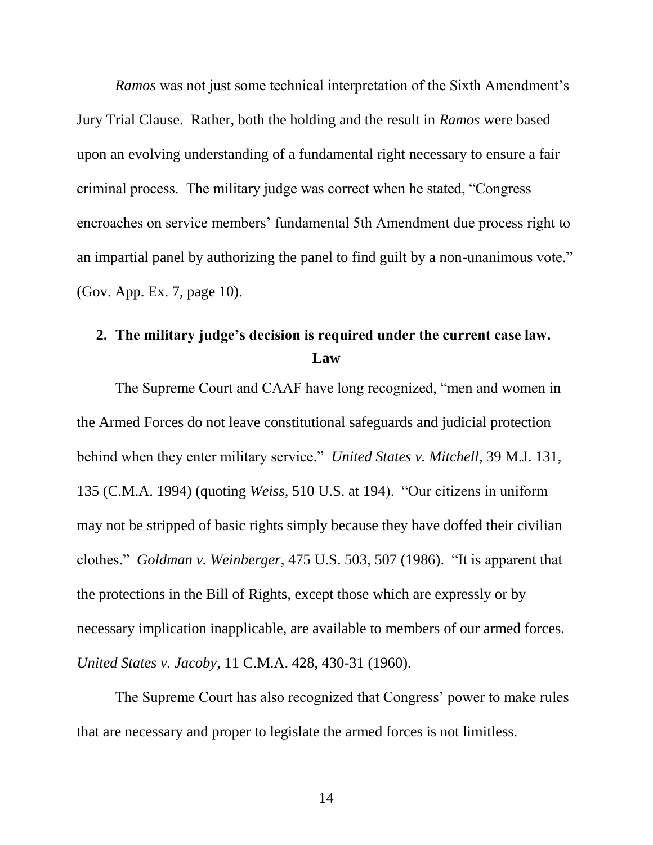*Ramos* was not just some technical interpretation of the Sixth Amendment's Jury Trial Clause. Rather, both the holding and the result in *Ramos* were based upon an evolving understanding of a fundamental right necessary to ensure a fair criminal process. The military judge was correct when he stated, "Congress encroaches on service members' fundamental 5th Amendment due process right to an impartial panel by authorizing the panel to find guilt by a non-unanimous vote." (Gov. App. Ex. 7, page 10).

# <span id="page-19-0"></span>**2. The military judge's decision is required under the current case law. Law**

The Supreme Court and CAAF have long recognized, "men and women in the Armed Forces do not leave constitutional safeguards and judicial protection behind when they enter military service." *United States v. Mitchell*, 39 M.J. 131, 135 (C.M.A. 1994) (quoting *Weiss*, 510 U.S. at 194). "Our citizens in uniform may not be stripped of basic rights simply because they have doffed their civilian clothes." *Goldman v. Weinberger*, 475 U.S. 503, 507 (1986). "It is apparent that the protections in the Bill of Rights, except those which are expressly or by necessary implication inapplicable, are available to members of our armed forces. *United States v. Jacoby*, 11 C.M.A. 428, 430-31 (1960).

The Supreme Court has also recognized that Congress' power to make rules that are necessary and proper to legislate the armed forces is not limitless.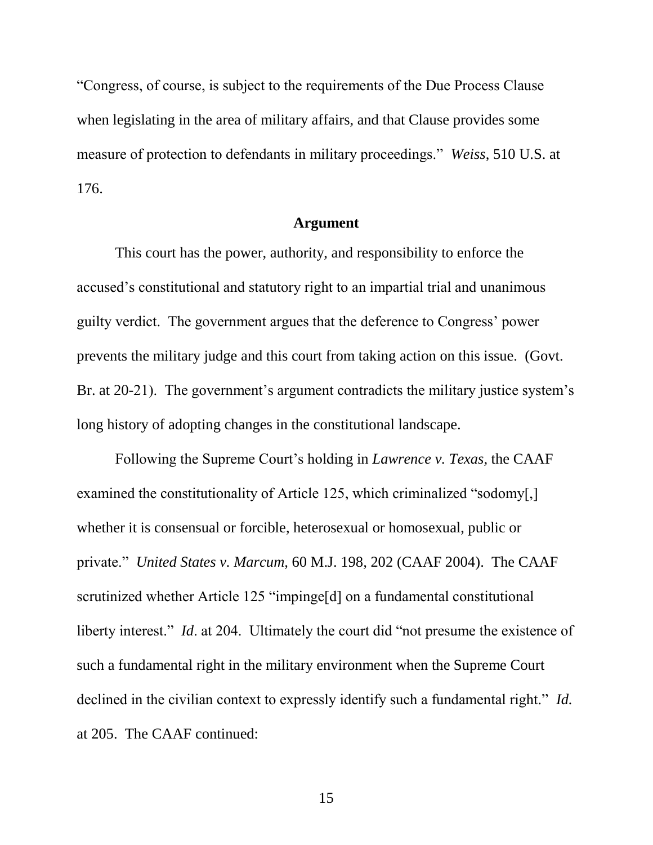"Congress, of course, is subject to the requirements of the Due Process Clause when legislating in the area of military affairs, and that Clause provides some measure of protection to defendants in military proceedings." *Weiss*, 510 U.S. at 176.

### **Argument**

This court has the power, authority, and responsibility to enforce the accused's constitutional and statutory right to an impartial trial and unanimous guilty verdict. The government argues that the deference to Congress' power prevents the military judge and this court from taking action on this issue. (Govt. Br. at 20-21). The government's argument contradicts the military justice system's long history of adopting changes in the constitutional landscape.

Following the Supreme Court's holding in *Lawrence v. Texas,* the CAAF examined the constitutionality of Article 125, which criminalized "sodomy[,] whether it is consensual or forcible, heterosexual or homosexual, public or private." *United States v. Marcum,* 60 M.J. 198*,* 202 (CAAF 2004). The CAAF scrutinized whether Article 125 "impinge[d] on a fundamental constitutional liberty interest." *Id.* at 204. Ultimately the court did "not presume the existence of such a fundamental right in the military environment when the Supreme Court declined in the civilian context to expressly identify such a fundamental right." *Id.*  at 205. The CAAF continued: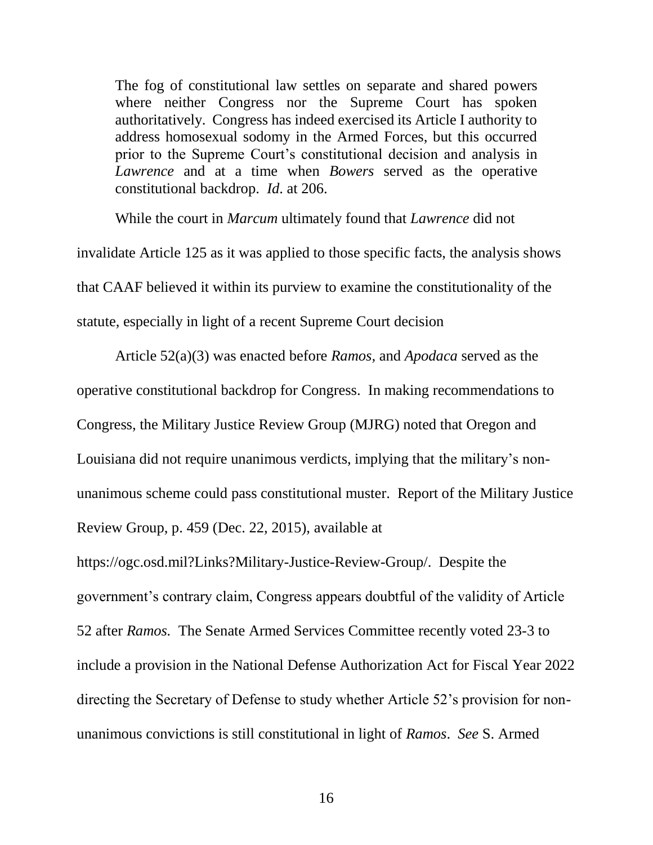The fog of constitutional law settles on separate and shared powers where neither Congress nor the Supreme Court has spoken authoritatively. Congress has indeed exercised its Article I authority to address homosexual sodomy in the Armed Forces, but this occurred prior to the Supreme Court's constitutional decision and analysis in *Lawrence* and at a time when *Bowers* served as the operative constitutional backdrop. *Id*. at 206.

While the court in *Marcum* ultimately found that *Lawrence* did not invalidate Article 125 as it was applied to those specific facts, the analysis shows that CAAF believed it within its purview to examine the constitutionality of the statute, especially in light of a recent Supreme Court decision

Article 52(a)(3) was enacted before *Ramos,* and *Apodaca* served as the operative constitutional backdrop for Congress. In making recommendations to Congress, the Military Justice Review Group (MJRG) noted that Oregon and Louisiana did not require unanimous verdicts, implying that the military's nonunanimous scheme could pass constitutional muster. Report of the Military Justice Review Group, p. 459 (Dec. 22, 2015), available at

https://ogc.osd.mil?Links?Military-Justice-Review-Group/. Despite the government's contrary claim, Congress appears doubtful of the validity of Article 52 after *Ramos.* The Senate Armed Services Committee recently voted 23-3 to include a provision in the National Defense Authorization Act for Fiscal Year 2022 directing the Secretary of Defense to study whether Article 52's provision for nonunanimous convictions is still constitutional in light of *Ramos*. *See* S. Armed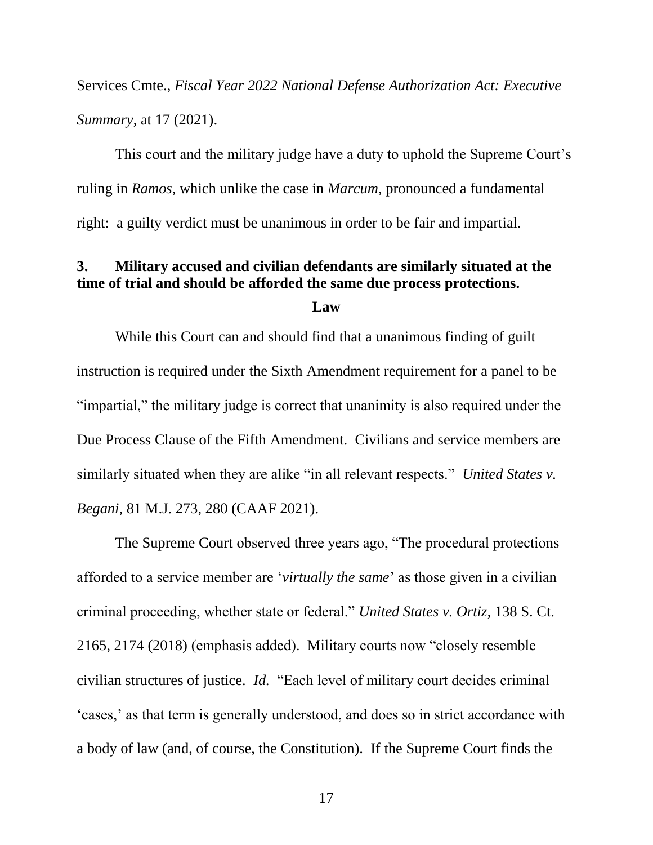Services Cmte., *Fiscal Year 2022 National Defense Authorization Act: Executive Summary*, at 17 (2021).

This court and the military judge have a duty to uphold the Supreme Court's ruling in *Ramos*, which unlike the case in *Marcum*, pronounced a fundamental right: a guilty verdict must be unanimous in order to be fair and impartial.

# <span id="page-22-0"></span>**3. Military accused and civilian defendants are similarly situated at the time of trial and should be afforded the same due process protections.**

**Law**

While this Court can and should find that a unanimous finding of guilt instruction is required under the Sixth Amendment requirement for a panel to be "impartial," the military judge is correct that unanimity is also required under the Due Process Clause of the Fifth Amendment. Civilians and service members are similarly situated when they are alike "in all relevant respects." *United States v. Begani*, 81 M.J. 273, 280 (CAAF 2021).

The Supreme Court observed three years ago, "The procedural protections afforded to a service member are '*virtually the same*' as those given in a civilian criminal proceeding, whether state or federal." *United States v. Ortiz*, 138 S. Ct. 2165, 2174 (2018) (emphasis added). Military courts now "closely resemble civilian structures of justice. *Id.* "Each level of military court decides criminal 'cases,' as that term is generally understood, and does so in strict accordance with a body of law (and, of course, the Constitution). If the Supreme Court finds the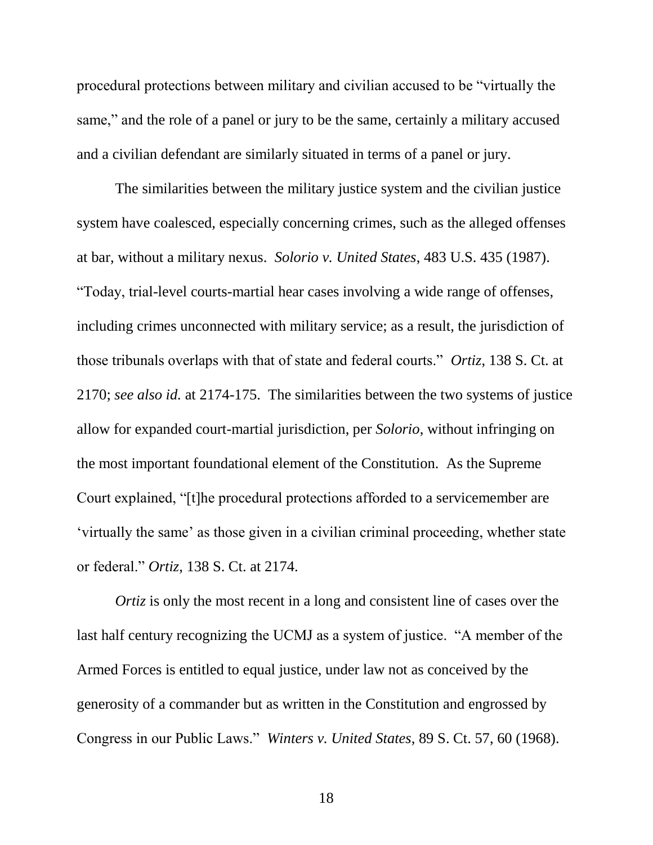procedural protections between military and civilian accused to be "virtually the same," and the role of a panel or jury to be the same, certainly a military accused and a civilian defendant are similarly situated in terms of a panel or jury.

The similarities between the military justice system and the civilian justice system have coalesced, especially concerning crimes, such as the alleged offenses at bar, without a military nexus. *Solorio v. United States*, 483 U.S. 435 (1987). "Today, trial-level courts-martial hear cases involving a wide range of offenses, including crimes unconnected with military service; as a result, the jurisdiction of those tribunals overlaps with that of state and federal courts." *Ortiz*, 138 S. Ct. at 2170; *see also id.* at 2174-175.The similarities between the two systems of justice allow for expanded court-martial jurisdiction, per *Solorio*, without infringing on the most important foundational element of the Constitution. As the Supreme Court explained, "[t]he procedural protections afforded to a servicemember are 'virtually the same' as those given in a civilian criminal proceeding, whether state or federal." *Ortiz*, 138 S. Ct. at 2174.

*Ortiz* is only the most recent in a long and consistent line of cases over the last half century recognizing the UCMJ as a system of justice. "A member of the Armed Forces is entitled to equal justice, under law not as conceived by the generosity of a commander but as written in the Constitution and engrossed by Congress in our Public Laws." *Winters v. United States*, 89 S. Ct. 57, 60 (1968).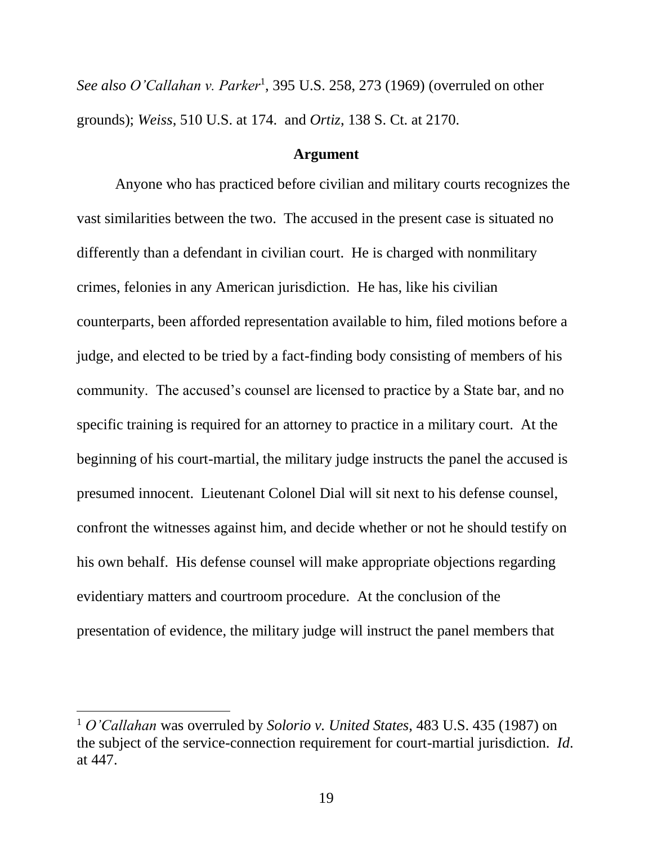See also O'Callahan v. Parker<sup>1</sup>, 395 U.S. 258, 273 (1969) (overruled on other grounds); *Weiss*, 510 U.S. at 174. and *Ortiz*, 138 S. Ct. at 2170.

### **Argument**

Anyone who has practiced before civilian and military courts recognizes the vast similarities between the two. The accused in the present case is situated no differently than a defendant in civilian court. He is charged with nonmilitary crimes, felonies in any American jurisdiction. He has, like his civilian counterparts, been afforded representation available to him, filed motions before a judge, and elected to be tried by a fact-finding body consisting of members of his community. The accused's counsel are licensed to practice by a State bar, and no specific training is required for an attorney to practice in a military court. At the beginning of his court-martial, the military judge instructs the panel the accused is presumed innocent. Lieutenant Colonel Dial will sit next to his defense counsel, confront the witnesses against him, and decide whether or not he should testify on his own behalf. His defense counsel will make appropriate objections regarding evidentiary matters and courtroom procedure. At the conclusion of the presentation of evidence, the military judge will instruct the panel members that

 $\overline{a}$ 

<sup>1</sup> *O'Callahan* was overruled by *Solorio v. United States*, 483 U.S. 435 (1987) on the subject of the service-connection requirement for court-martial jurisdiction. *Id*. at 447.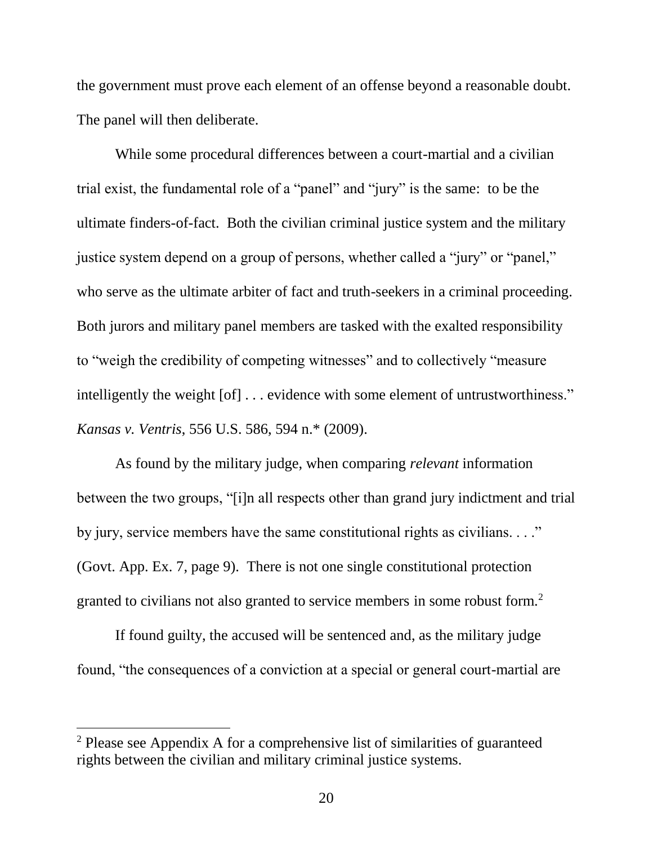the government must prove each element of an offense beyond a reasonable doubt. The panel will then deliberate.

While some procedural differences between a court-martial and a civilian trial exist, the fundamental role of a "panel" and "jury" is the same: to be the ultimate finders-of-fact. Both the civilian criminal justice system and the military justice system depend on a group of persons, whether called a "jury" or "panel," who serve as the ultimate arbiter of fact and truth-seekers in a criminal proceeding. Both jurors and military panel members are tasked with the exalted responsibility to "weigh the credibility of competing witnesses" and to collectively "measure intelligently the weight [of] . . . evidence with some element of untrustworthiness." *Kansas v. Ventris*, 556 U.S. 586, 594 n.\* (2009).

As found by the military judge, when comparing *relevant* information between the two groups, "[i]n all respects other than grand jury indictment and trial by jury, service members have the same constitutional rights as civilians. . . ." (Govt. App. Ex. 7, page 9). There is not one single constitutional protection granted to civilians not also granted to service members in some robust form.<sup>2</sup>

If found guilty, the accused will be sentenced and, as the military judge found, "the consequences of a conviction at a special or general court-martial are

 $\overline{\phantom{a}}$ 

<sup>2</sup> Please see Appendix A for a comprehensive list of similarities of guaranteed rights between the civilian and military criminal justice systems.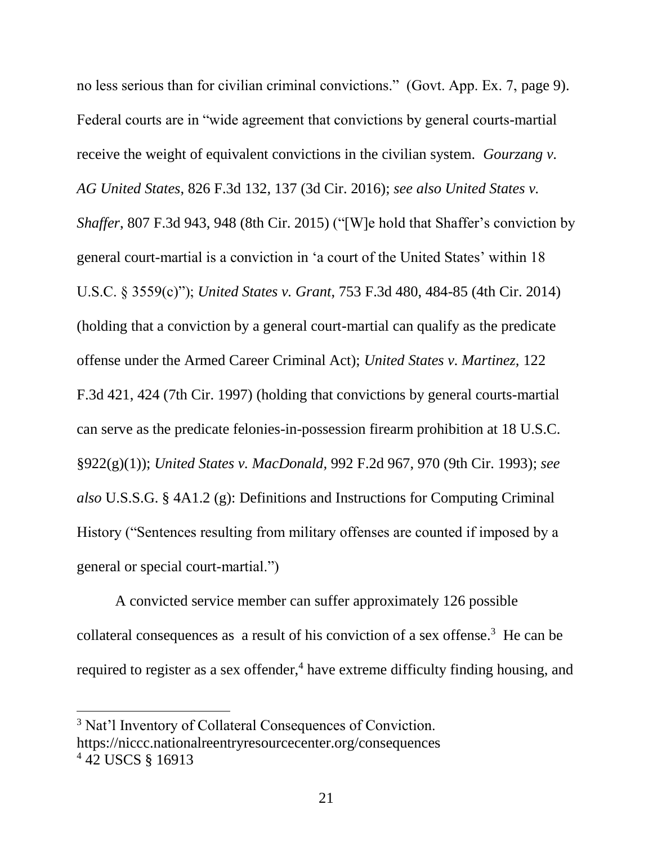no less serious than for civilian criminal convictions." (Govt. App. Ex. 7, page 9). Federal courts are in "wide agreement that convictions by general courts-martial receive the weight of equivalent convictions in the civilian system. *Gourzang v. AG United States*, 826 F.3d 132, 137 (3d Cir. 2016); *see also United States v. Shaffer*, 807 F.3d 943, 948 (8th Cir. 2015) ("[W]e hold that Shaffer's conviction by general court-martial is a conviction in 'a court of the United States' within 18 U.S.C. § 3559(c)"); *United States v. Grant*, 753 F.3d 480, 484-85 (4th Cir. 2014) (holding that a conviction by a general court-martial can qualify as the predicate offense under the Armed Career Criminal Act); *United States v. Martinez,* 122 F.3d 421, 424 (7th Cir. 1997) (holding that convictions by general courts-martial can serve as the predicate felonies-in-possession firearm prohibition at 18 U.S.C. §922(g)(1)); *United States v. MacDonald,* 992 F.2d 967, 970 (9th Cir. 1993); *see also* U.S.S.G. § 4A1.2 (g): Definitions and Instructions for Computing Criminal History ("Sentences resulting from military offenses are counted if imposed by a general or special court-martial.")

A convicted service member can suffer approximately 126 possible collateral consequences as a result of his conviction of a sex offense.<sup>3</sup> He can be required to register as a sex offender, $4$  have extreme difficulty finding housing, and

 $\overline{a}$ 

<sup>&</sup>lt;sup>3</sup> Nat'l Inventory of Collateral Consequences of Conviction. https://niccc.nationalreentryresourcecenter.org/consequences <sup>4</sup> 42 USCS § 16913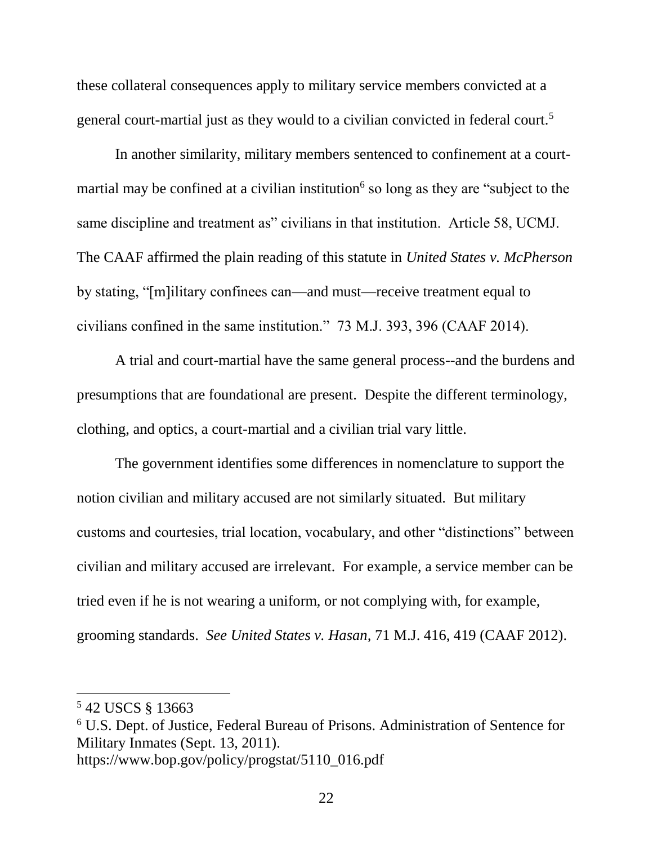these collateral consequences apply to military service members convicted at a general court-martial just as they would to a civilian convicted in federal court.<sup>5</sup>

In another similarity, military members sentenced to confinement at a courtmartial may be confined at a civilian institution<sup>6</sup> so long as they are "subject to the same discipline and treatment as" civilians in that institution. Article 58, UCMJ. The CAAF affirmed the plain reading of this statute in *United States v. McPherson* by stating, "[m]ilitary confinees can—and must—receive treatment equal to civilians confined in the same institution." 73 M.J. 393, 396 (CAAF 2014).

A trial and court-martial have the same general process--and the burdens and presumptions that are foundational are present. Despite the different terminology, clothing, and optics, a court-martial and a civilian trial vary little.

The government identifies some differences in nomenclature to support the notion civilian and military accused are not similarly situated. But military customs and courtesies, trial location, vocabulary, and other "distinctions" between civilian and military accused are irrelevant. For example, a service member can be tried even if he is not wearing a uniform, or not complying with, for example, grooming standards. *See United States v. Hasan,* 71 M.J. 416, 419 (CAAF 2012).

 $\overline{\phantom{a}}$ 

<sup>5</sup> 42 USCS § 13663

<sup>6</sup> U.S. Dept. of Justice, Federal Bureau of Prisons. Administration of Sentence for Military Inmates (Sept. 13, 2011). https://www.bop.gov/policy/progstat/5110\_016.pdf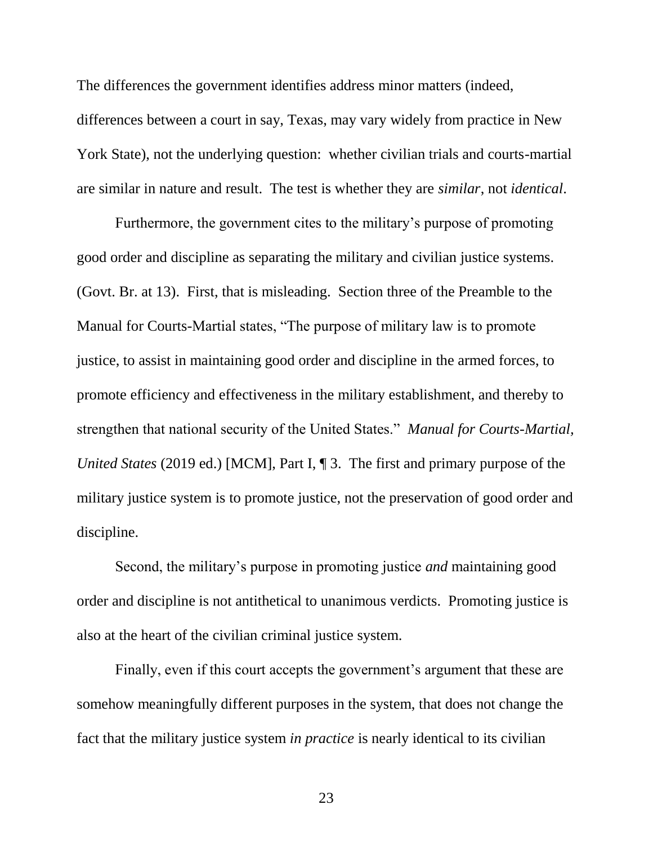The differences the government identifies address minor matters (indeed, differences between a court in say, Texas, may vary widely from practice in New York State), not the underlying question: whether civilian trials and courts-martial are similar in nature and result. The test is whether they are *similar*, not *identical*.

Furthermore, the government cites to the military's purpose of promoting good order and discipline as separating the military and civilian justice systems. (Govt. Br. at 13). First, that is misleading. Section three of the Preamble to the Manual for Courts-Martial states, "The purpose of military law is to promote justice, to assist in maintaining good order and discipline in the armed forces, to promote efficiency and effectiveness in the military establishment, and thereby to strengthen that national security of the United States." *Manual for Courts-Martial, United States* (2019 ed.) [MCM], Part I, ¶ 3. The first and primary purpose of the military justice system is to promote justice, not the preservation of good order and discipline.

Second, the military's purpose in promoting justice *and* maintaining good order and discipline is not antithetical to unanimous verdicts. Promoting justice is also at the heart of the civilian criminal justice system.

Finally, even if this court accepts the government's argument that these are somehow meaningfully different purposes in the system, that does not change the fact that the military justice system *in practice* is nearly identical to its civilian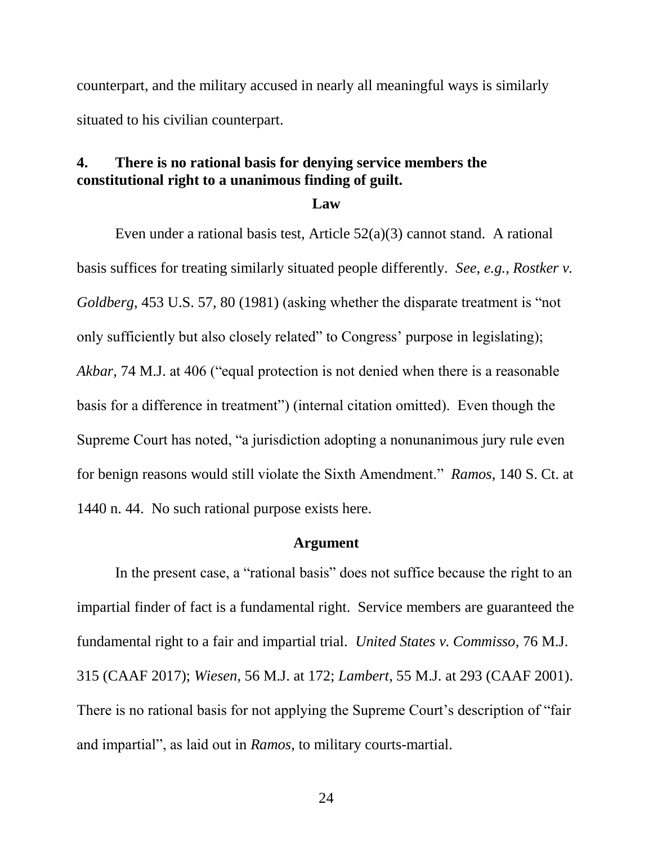counterpart, and the military accused in nearly all meaningful ways is similarly situated to his civilian counterpart.

### <span id="page-29-0"></span>**4. There is no rational basis for denying service members the constitutional right to a unanimous finding of guilt.**

**Law**

Even under a rational basis test, Article 52(a)(3) cannot stand. A rational basis suffices for treating similarly situated people differently. *See*, *e.g.*, *Rostker v. Goldberg*, 453 U.S. 57, 80 (1981) (asking whether the disparate treatment is "not only sufficiently but also closely related" to Congress' purpose in legislating); *Akbar,* 74 M.J. at 406 ("equal protection is not denied when there is a reasonable basis for a difference in treatment") (internal citation omitted). Even though the Supreme Court has noted, "a jurisdiction adopting a nonunanimous jury rule even for benign reasons would still violate the Sixth Amendment." *Ramos*, 140 S. Ct. at 1440 n. 44. No such rational purpose exists here.

#### **Argument**

In the present case, a "rational basis" does not suffice because the right to an impartial finder of fact is a fundamental right. Service members are guaranteed the fundamental right to a fair and impartial trial. *United States v. Commisso*, 76 M.J. 315 (CAAF 2017); *Wiesen*, 56 M.J. at 172; *Lambert*, 55 M.J. at 293 (CAAF 2001). There is no rational basis for not applying the Supreme Court's description of "fair and impartial", as laid out in *Ramos*, to military courts-martial.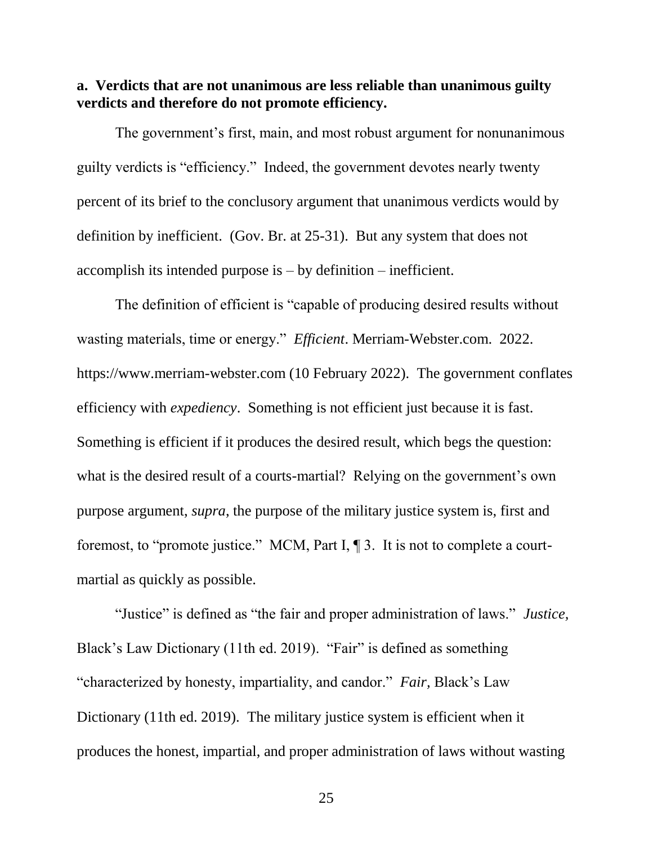<span id="page-30-0"></span>**a. Verdicts that are not unanimous are less reliable than unanimous guilty verdicts and therefore do not promote efficiency.** 

The government's first, main, and most robust argument for nonunanimous guilty verdicts is "efficiency." Indeed, the government devotes nearly twenty percent of its brief to the conclusory argument that unanimous verdicts would by definition by inefficient. (Gov. Br. at 25-31). But any system that does not accomplish its intended purpose is – by definition – inefficient.

The definition of efficient is "capable of producing desired results without wasting materials, time or energy." *Efficient*. Merriam-Webster.com. 2022. https://www.merriam-webster.com (10 February 2022). The government conflates efficiency with *expediency*. Something is not efficient just because it is fast. Something is efficient if it produces the desired result, which begs the question: what is the desired result of a courts-martial? Relying on the government's own purpose argument, *supra*, the purpose of the military justice system is, first and foremost, to "promote justice." MCM, Part I, ¶ 3. It is not to complete a courtmartial as quickly as possible.

"Justice" is defined as "the fair and proper administration of laws." *Justice,*  Black's Law Dictionary (11th ed. 2019). "Fair" is defined as something "characterized by honesty, impartiality, and candor." *Fair,* Black's Law Dictionary (11th ed. 2019). The military justice system is efficient when it produces the honest, impartial, and proper administration of laws without wasting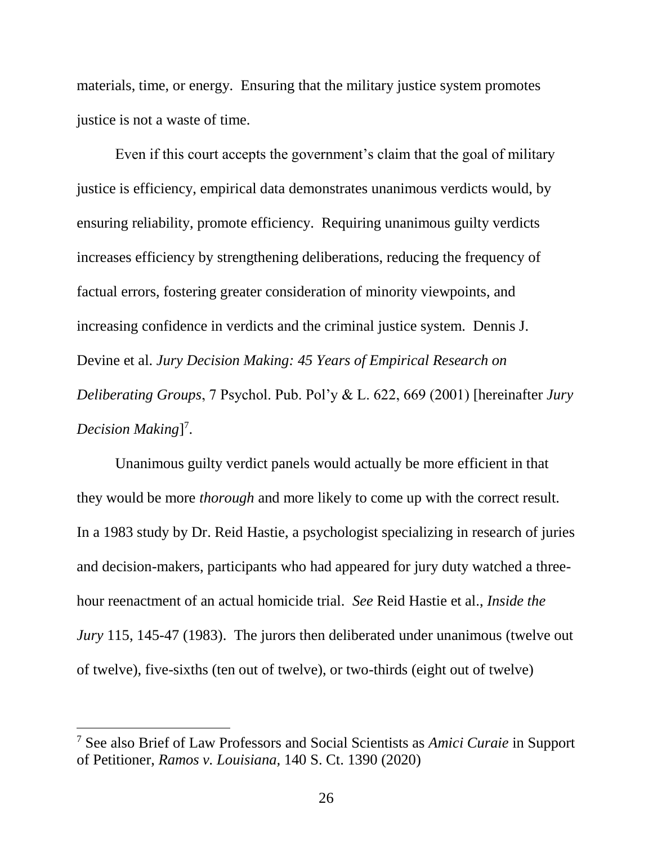materials, time, or energy. Ensuring that the military justice system promotes justice is not a waste of time.

Even if this court accepts the government's claim that the goal of military justice is efficiency, empirical data demonstrates unanimous verdicts would, by ensuring reliability, promote efficiency. Requiring unanimous guilty verdicts increases efficiency by strengthening deliberations, reducing the frequency of factual errors, fostering greater consideration of minority viewpoints, and increasing confidence in verdicts and the criminal justice system. Dennis J. Devine et al. *Jury Decision Making: 45 Years of Empirical Research on Deliberating Groups*, 7 Psychol. Pub. Pol'y & L. 622, 669 (2001) [hereinafter *Jury*  Decision Making<sup>[7</sup>.

Unanimous guilty verdict panels would actually be more efficient in that they would be more *thorough* and more likely to come up with the correct result. In a 1983 study by Dr. Reid Hastie, a psychologist specializing in research of juries and decision-makers, participants who had appeared for jury duty watched a threehour reenactment of an actual homicide trial. *See* Reid Hastie et al., *Inside the Jury* 115, 145-47 (1983). The jurors then deliberated under unanimous (twelve out of twelve), five-sixths (ten out of twelve), or two-thirds (eight out of twelve)

 $\overline{\phantom{a}}$ 

<sup>7</sup> See also Brief of Law Professors and Social Scientists as *Amici Curaie* in Support of Petitioner, *Ramos v. Louisiana,* 140 S. Ct. 1390 (2020)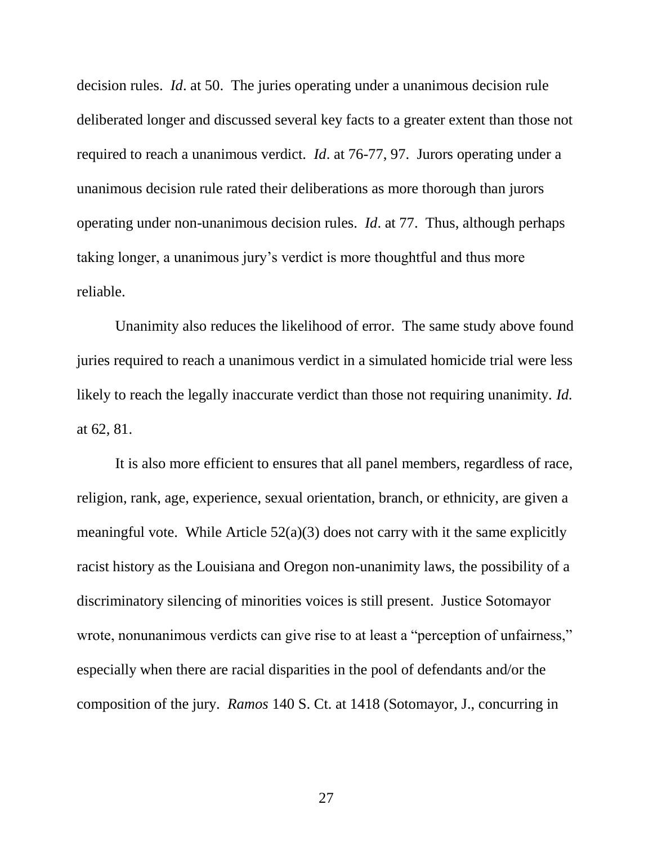decision rules. *Id*. at 50. The juries operating under a unanimous decision rule deliberated longer and discussed several key facts to a greater extent than those not required to reach a unanimous verdict. *Id*. at 76-77, 97. Jurors operating under a unanimous decision rule rated their deliberations as more thorough than jurors operating under non-unanimous decision rules. *Id*. at 77. Thus, although perhaps taking longer, a unanimous jury's verdict is more thoughtful and thus more reliable.

Unanimity also reduces the likelihood of error. The same study above found juries required to reach a unanimous verdict in a simulated homicide trial were less likely to reach the legally inaccurate verdict than those not requiring unanimity. *Id.* at 62, 81.

It is also more efficient to ensures that all panel members, regardless of race, religion, rank, age, experience, sexual orientation, branch, or ethnicity, are given a meaningful vote. While Article  $52(a)(3)$  does not carry with it the same explicitly racist history as the Louisiana and Oregon non-unanimity laws, the possibility of a discriminatory silencing of minorities voices is still present. Justice Sotomayor wrote, nonunanimous verdicts can give rise to at least a "perception of unfairness," especially when there are racial disparities in the pool of defendants and/or the composition of the jury. *Ramos* 140 S. Ct. at 1418 (Sotomayor, J., concurring in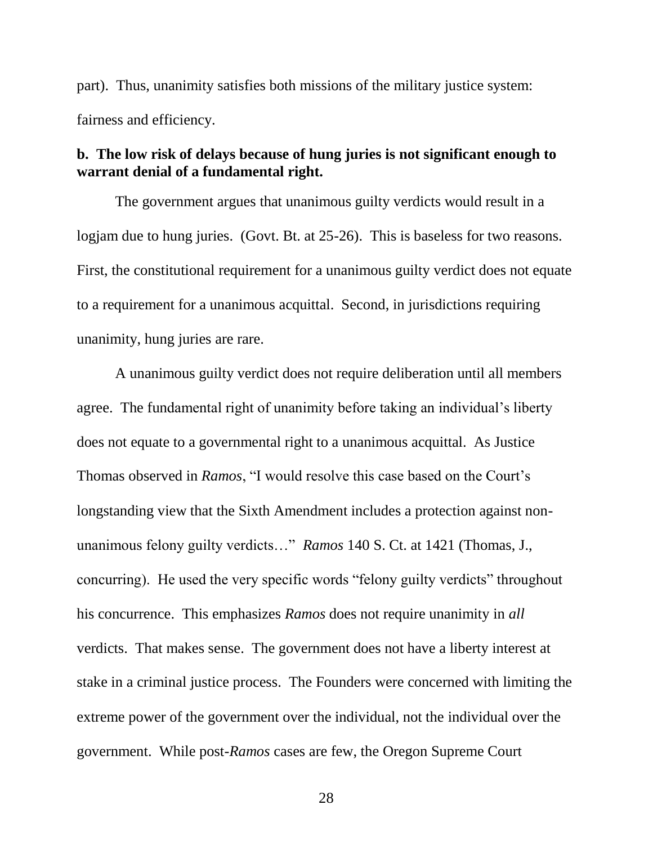part). Thus, unanimity satisfies both missions of the military justice system: fairness and efficiency.

### <span id="page-33-0"></span>**b. The low risk of delays because of hung juries is not significant enough to warrant denial of a fundamental right.**

The government argues that unanimous guilty verdicts would result in a logjam due to hung juries. (Govt. Bt. at 25-26). This is baseless for two reasons. First, the constitutional requirement for a unanimous guilty verdict does not equate to a requirement for a unanimous acquittal. Second, in jurisdictions requiring unanimity, hung juries are rare.

A unanimous guilty verdict does not require deliberation until all members agree. The fundamental right of unanimity before taking an individual's liberty does not equate to a governmental right to a unanimous acquittal. As Justice Thomas observed in *Ramos*, "I would resolve this case based on the Court's longstanding view that the Sixth Amendment includes a protection against nonunanimous felony guilty verdicts…" *Ramos* 140 S. Ct. at 1421 (Thomas, J., concurring). He used the very specific words "felony guilty verdicts" throughout his concurrence. This emphasizes *Ramos* does not require unanimity in *all* verdicts. That makes sense. The government does not have a liberty interest at stake in a criminal justice process. The Founders were concerned with limiting the extreme power of the government over the individual, not the individual over the government. While post-*Ramos* cases are few, the Oregon Supreme Court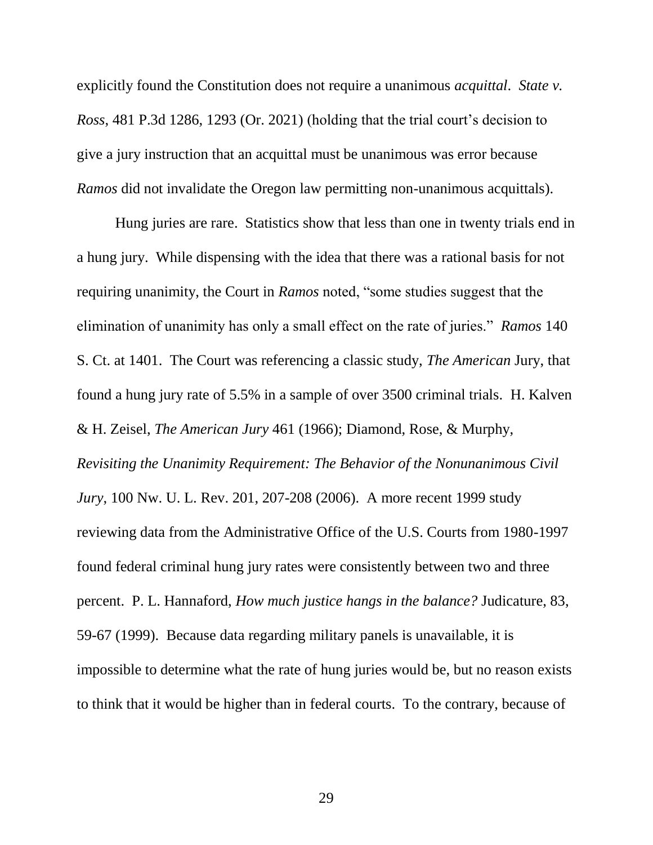explicitly found the Constitution does not require a unanimous *acquittal*. *State v. Ross*, 481 P.3d 1286, 1293 (Or. 2021) (holding that the trial court's decision to give a jury instruction that an acquittal must be unanimous was error because *Ramos* did not invalidate the Oregon law permitting non-unanimous acquittals).

Hung juries are rare. Statistics show that less than one in twenty trials end in a hung jury. While dispensing with the idea that there was a rational basis for not requiring unanimity, the Court in *Ramos* noted, "some studies suggest that the elimination of unanimity has only a small effect on the rate of juries." *Ramos* 140 S. Ct. at 1401. The Court was referencing a classic study, *The American* Jury, that found a hung jury rate of 5.5% in a sample of over 3500 criminal trials. H. Kalven & H. Zeisel, *The American Jury* 461 (1966); Diamond, Rose, & Murphy, *Revisiting the Unanimity Requirement: The Behavior of the Nonunanimous Civil Jury*, 100 Nw. U. L. Rev. 201, 207-208 (2006). A more recent 1999 study reviewing data from the Administrative Office of the U.S. Courts from 1980-1997 found federal criminal hung jury rates were consistently between two and three percent. P. L. Hannaford, *How much justice hangs in the balance?* Judicature, 83, 59-67 (1999). Because data regarding military panels is unavailable, it is impossible to determine what the rate of hung juries would be, but no reason exists to think that it would be higher than in federal courts. To the contrary, because of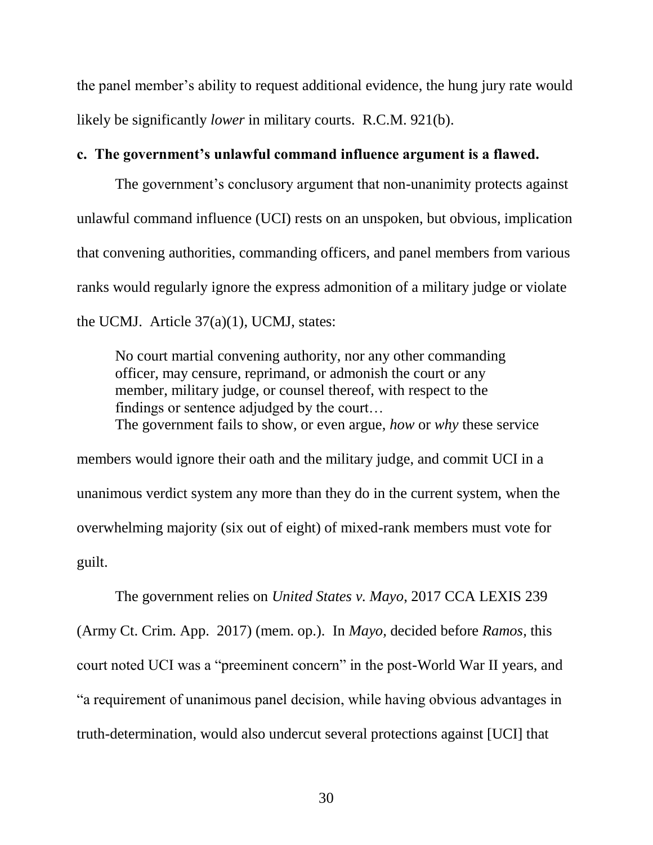the panel member's ability to request additional evidence, the hung jury rate would likely be significantly *lower* in military courts. R.C.M. 921(b).

### <span id="page-35-0"></span>**c. The government's unlawful command influence argument is a flawed.**

The government's conclusory argument that non-unanimity protects against unlawful command influence (UCI) rests on an unspoken, but obvious, implication that convening authorities, commanding officers, and panel members from various ranks would regularly ignore the express admonition of a military judge or violate the UCMJ. Article 37(a)(1), UCMJ, states:

No court martial convening authority, nor any other commanding officer, may censure, reprimand, or admonish the court or any member, military judge, or counsel thereof, with respect to the findings or sentence adjudged by the court… The government fails to show, or even argue, *how* or *why* these service

members would ignore their oath and the military judge, and commit UCI in a unanimous verdict system any more than they do in the current system, when the overwhelming majority (six out of eight) of mixed-rank members must vote for guilt.

The government relies on *United States v. Mayo*, 2017 CCA LEXIS 239 (Army Ct. Crim. App. 2017) (mem. op.). In *Mayo,* decided before *Ramos,* this court noted UCI was a "preeminent concern" in the post-World War II years, and "a requirement of unanimous panel decision, while having obvious advantages in truth-determination, would also undercut several protections against [UCI] that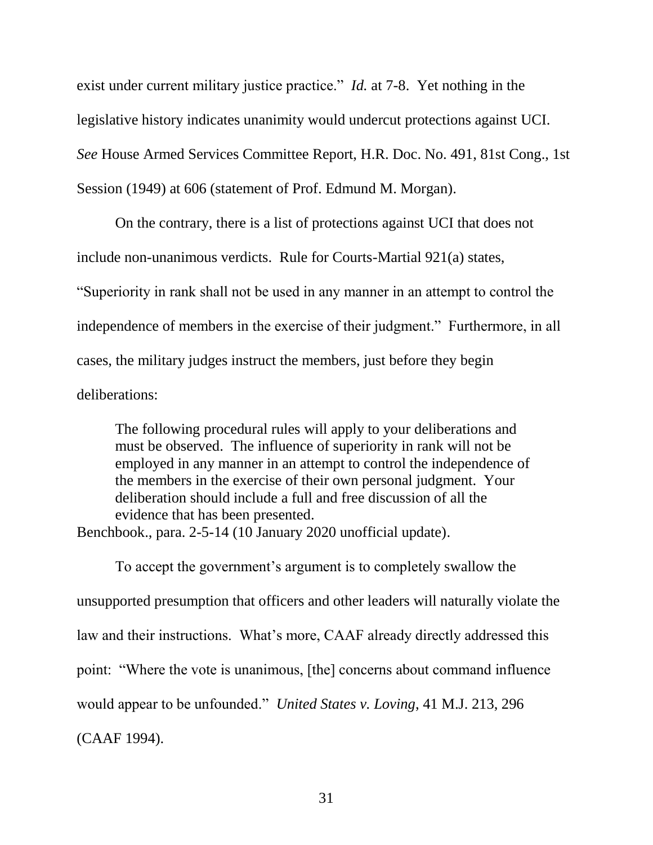exist under current military justice practice." *Id.* at 7-8. Yet nothing in the legislative history indicates unanimity would undercut protections against UCI. *See* House Armed Services Committee Report, H.R. Doc. No. 491, 81st Cong., 1st Session (1949) at 606 (statement of Prof. Edmund M. Morgan).

On the contrary, there is a list of protections against UCI that does not include non-unanimous verdicts. Rule for Courts-Martial 921(a) states, "Superiority in rank shall not be used in any manner in an attempt to control the independence of members in the exercise of their judgment." Furthermore, in all cases, the military judges instruct the members, just before they begin deliberations:

The following procedural rules will apply to your deliberations and must be observed. The influence of superiority in rank will not be employed in any manner in an attempt to control the independence of the members in the exercise of their own personal judgment. Your deliberation should include a full and free discussion of all the evidence that has been presented. Benchbook., para. 2-5-14 (10 January 2020 unofficial update).

To accept the government's argument is to completely swallow the unsupported presumption that officers and other leaders will naturally violate the law and their instructions. What's more, CAAF already directly addressed this point: "Where the vote is unanimous, [the] concerns about command influence would appear to be unfounded." *United States v. Loving*, 41 M.J. 213, 296 (CAAF 1994).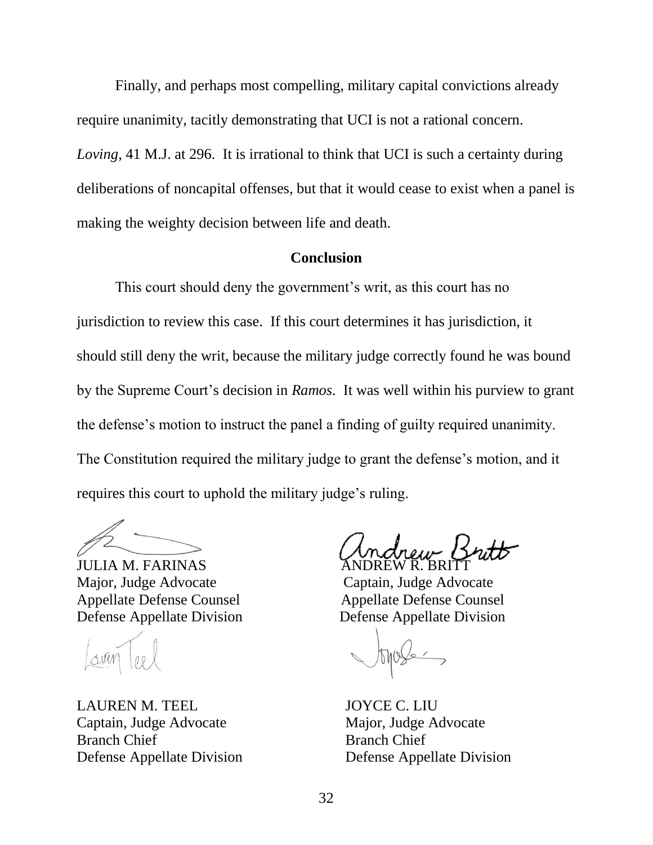Finally, and perhaps most compelling, military capital convictions already require unanimity, tacitly demonstrating that UCI is not a rational concern. *Loving*, 41 M.J. at 296. It is irrational to think that UCI is such a certainty during deliberations of noncapital offenses, but that it would cease to exist when a panel is making the weighty decision between life and death.

### **Conclusion**

<span id="page-37-0"></span>This court should deny the government's writ, as this court has no jurisdiction to review this case. If this court determines it has jurisdiction, it should still deny the writ, because the military judge correctly found he was bound by the Supreme Court's decision in *Ramos*. It was well within his purview to grant the defense's motion to instruct the panel a finding of guilty required unanimity. The Constitution required the military judge to grant the defense's motion, and it requires this court to uphold the military judge's ruling.

JULIA M. FARINAS Major, Judge Advocate Captain, Judge Advocate Appellate Defense Counsel Appellate Defense Counsel Defense Appellate Division Defense Appellate Division

LAUREN M. TEEL JOYCE C. LIU Captain, Judge Advocate Major, Judge Advocate Branch Chief Branch Chief Defense Appellate Division Defense Appellate Division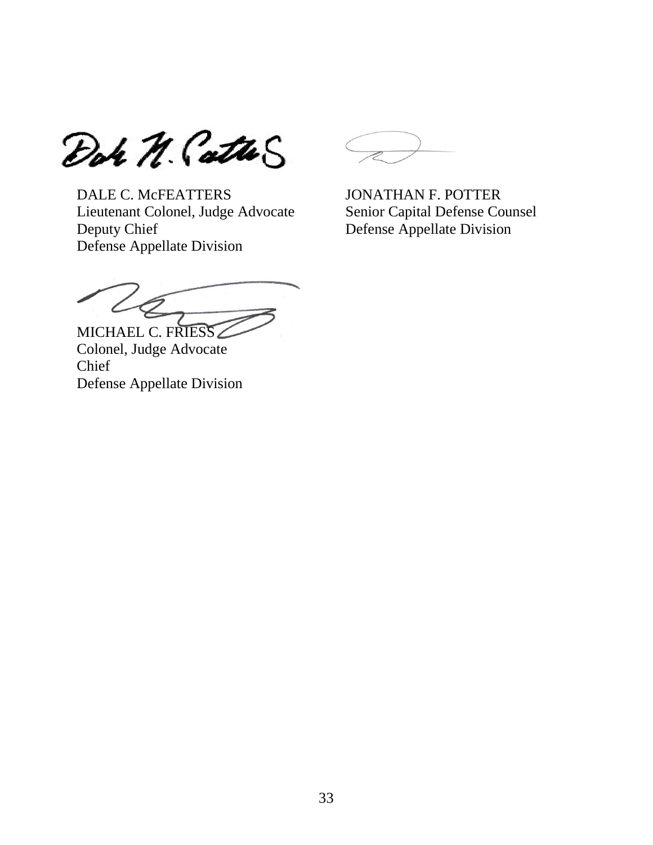Dor N. Catho

DALE C. McFEATTERS JONATHAN F. POTTER Lieutenant Colonel, Judge Advocate Senior Capital Defense Counsel Deputy Chief Defense Appellate Division Defense Appellate Division

MICHAEL C. FRIESS

Colonel, Judge Advocate Chief Defense Appellate Division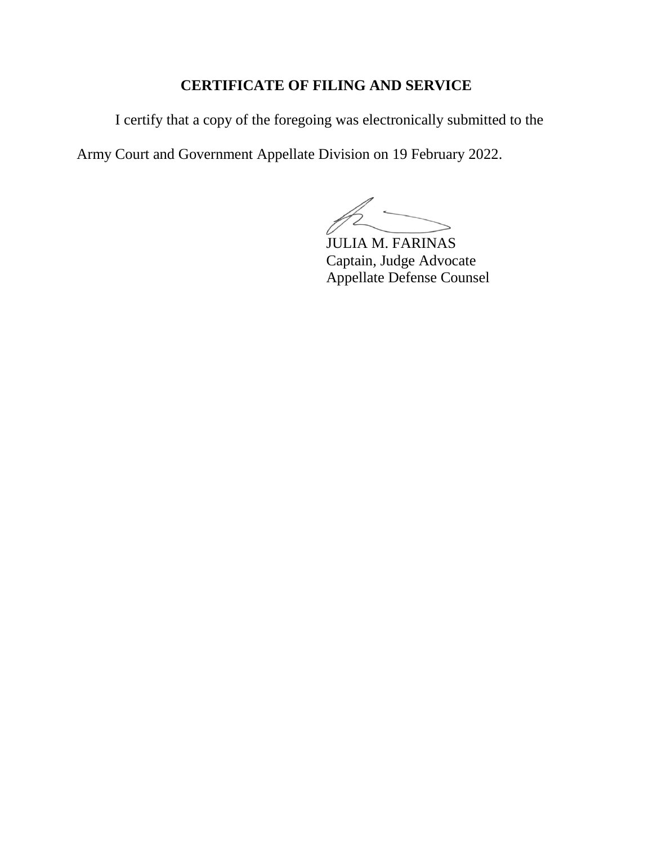### **CERTIFICATE OF FILING AND SERVICE**

I certify that a copy of the foregoing was electronically submitted to the

Army Court and Government Appellate Division on 19 February 2022.

 $\sim$ 

JULIA M. FARINAS Captain, Judge Advocate Appellate Defense Counsel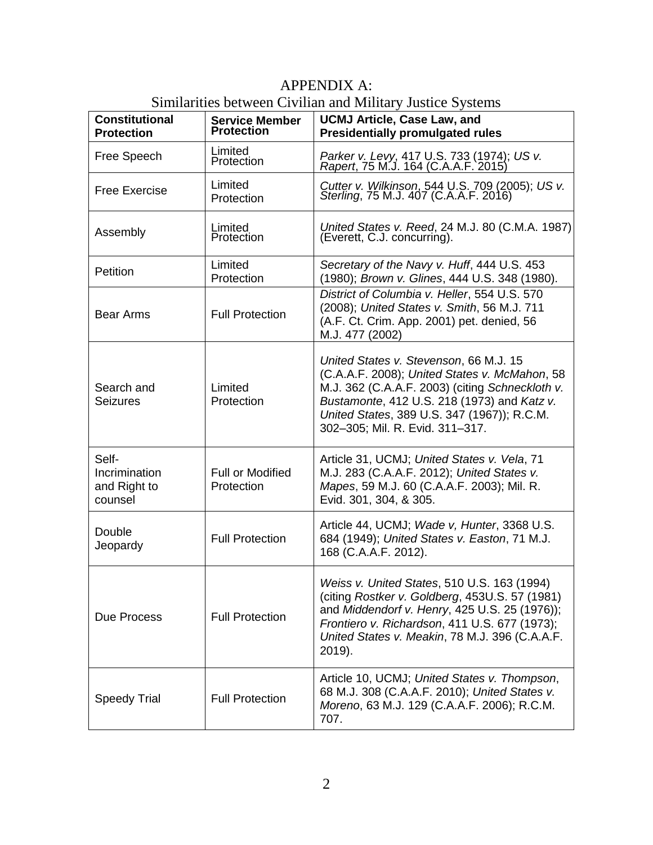| <b>Constitutional</b><br><b>Protection</b>        | <b>Service Member</b><br><b>Protection</b> | $\beta$ and $\alpha$ and $\beta$ and $\beta$ and $\beta$ and $\beta$ and $\beta$ and $\beta$ and $\beta$ and $\beta$<br><b>UCMJ Article, Case Law, and</b><br><b>Presidentially promulgated rules</b>                                                                       |
|---------------------------------------------------|--------------------------------------------|-----------------------------------------------------------------------------------------------------------------------------------------------------------------------------------------------------------------------------------------------------------------------------|
| Free Speech                                       | Limited<br>Protection                      | Parker v. Levy, 417 U.S. 733 (1974); US v.<br>Rapert, 75 M.J. 164 (C.A.A.F. 2015)                                                                                                                                                                                           |
| <b>Free Exercise</b>                              | Limited<br>Protection                      | Cutter v. Wilkinson, 544 U.S. 709 (2005); US v.<br>Sterling, 75 M.J. 407 (C.A.A.F. 2016)                                                                                                                                                                                    |
| Assembly                                          | Limited<br>Protection                      | United States v. Reed, 24 M.J. 80 (C.M.A. 1987).<br>(Everett, C.J. concurring).                                                                                                                                                                                             |
| Petition                                          | Limited<br>Protection                      | Secretary of the Navy v. Huff, 444 U.S. 453<br>(1980); Brown v. Glines, 444 U.S. 348 (1980).                                                                                                                                                                                |
| <b>Bear Arms</b>                                  | <b>Full Protection</b>                     | District of Columbia v. Heller, 554 U.S. 570<br>(2008); United States v. Smith, 56 M.J. 711<br>(A.F. Ct. Crim. App. 2001) pet. denied, 56<br>M.J. 477 (2002)                                                                                                                |
| Search and<br><b>Seizures</b>                     | Limited<br>Protection                      | United States v. Stevenson, 66 M.J. 15<br>(C.A.A.F. 2008); United States v. McMahon, 58<br>M.J. 362 (C.A.A.F. 2003) (citing Schneckloth v.<br>Bustamonte, 412 U.S. 218 (1973) and Katz v.<br>United States, 389 U.S. 347 (1967)); R.C.M.<br>302-305; Mil. R. Evid. 311-317. |
| Self-<br>Incrimination<br>and Right to<br>counsel | <b>Full or Modified</b><br>Protection      | Article 31, UCMJ; United States v. Vela, 71<br>M.J. 283 (C.A.A.F. 2012); United States v.<br>Mapes, 59 M.J. 60 (C.A.A.F. 2003); Mil. R.<br>Evid. 301, 304, & 305.                                                                                                           |
| Double<br>Jeopardy                                | <b>Full Protection</b>                     | Article 44, UCMJ; Wade v, Hunter, 3368 U.S.<br>684 (1949); United States v. Easton, 71 M.J.<br>168 (C.A.A.F. 2012).                                                                                                                                                         |
| Due Process                                       | <b>Full Protection</b>                     | Weiss v. United States, 510 U.S. 163 (1994)<br>(citing Rostker v. Goldberg, 453U.S. 57 (1981)<br>and Middendorf v. Henry, 425 U.S. 25 (1976));<br>Frontiero v. Richardson, 411 U.S. 677 (1973);<br>United States v. Meakin, 78 M.J. 396 (C.A.A.F.<br>2019).                 |
| <b>Speedy Trial</b>                               | <b>Full Protection</b>                     | Article 10, UCMJ; United States v. Thompson,<br>68 M.J. 308 (C.A.A.F. 2010); United States v.<br>Moreno, 63 M.J. 129 (C.A.A.F. 2006); R.C.M.<br>707.                                                                                                                        |

### APPENDIX A: Similarities between Civilian and Military Justice Systems